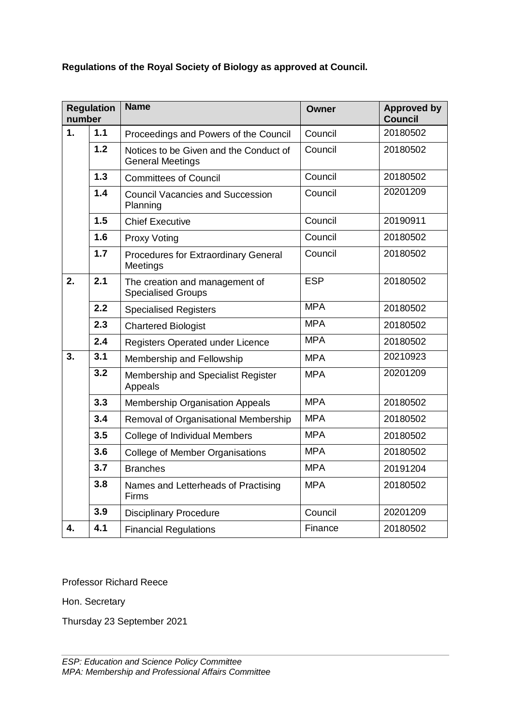# **Regulations of the Royal Society of Biology as approved at Council.**

| <b>Regulation</b><br>number |                  | <b>Name</b>                                                       | <b>Owner</b> | <b>Approved by</b><br><b>Council</b> |
|-----------------------------|------------------|-------------------------------------------------------------------|--------------|--------------------------------------|
| 1.                          | 1.1              | Proceedings and Powers of the Council                             | Council      | 20180502                             |
|                             | 1.2              | Notices to be Given and the Conduct of<br><b>General Meetings</b> | Council      | 20180502                             |
|                             | 1.3              | <b>Committees of Council</b>                                      | Council      | 20180502                             |
|                             | 1.4              | <b>Council Vacancies and Succession</b><br>Planning               | Council      | 20201209                             |
|                             | 1.5              | <b>Chief Executive</b>                                            | Council      | 20190911                             |
|                             | 1.6              | <b>Proxy Voting</b>                                               | Council      | 20180502                             |
|                             | 1.7              | <b>Procedures for Extraordinary General</b><br>Meetings           | Council      | 20180502                             |
| 2.                          | 2.1              | The creation and management of<br><b>Specialised Groups</b>       | <b>ESP</b>   | 20180502                             |
|                             | 2.2              | <b>Specialised Registers</b>                                      | <b>MPA</b>   | 20180502                             |
|                             | 2.3              | <b>Chartered Biologist</b>                                        | <b>MPA</b>   | 20180502                             |
|                             | 2.4              | Registers Operated under Licence                                  | <b>MPA</b>   | 20180502                             |
| $\overline{3}$ .            | $\overline{3.1}$ | Membership and Fellowship                                         | <b>MPA</b>   | 20210923                             |
|                             | $\overline{3.2}$ | Membership and Specialist Register<br>Appeals                     | <b>MPA</b>   | 20201209                             |
|                             | 3.3              | Membership Organisation Appeals                                   | <b>MPA</b>   | 20180502                             |
|                             | 3.4              | Removal of Organisational Membership                              | <b>MPA</b>   | 20180502                             |
|                             | 3.5              | <b>College of Individual Members</b>                              | <b>MPA</b>   | 20180502                             |
|                             | 3.6              | <b>College of Member Organisations</b>                            | <b>MPA</b>   | 20180502                             |
|                             | 3.7              | <b>Branches</b>                                                   | <b>MPA</b>   | 20191204                             |
|                             | 3.8              | Names and Letterheads of Practising<br><b>Firms</b>               | <b>MPA</b>   | 20180502                             |
|                             | 3.9              | <b>Disciplinary Procedure</b>                                     | Council      | 20201209                             |
| 4.                          | 4.1              | <b>Financial Regulations</b>                                      | Finance      | 20180502                             |

Professor Richard Reece

Hon. Secretary

Thursday 23 September 2021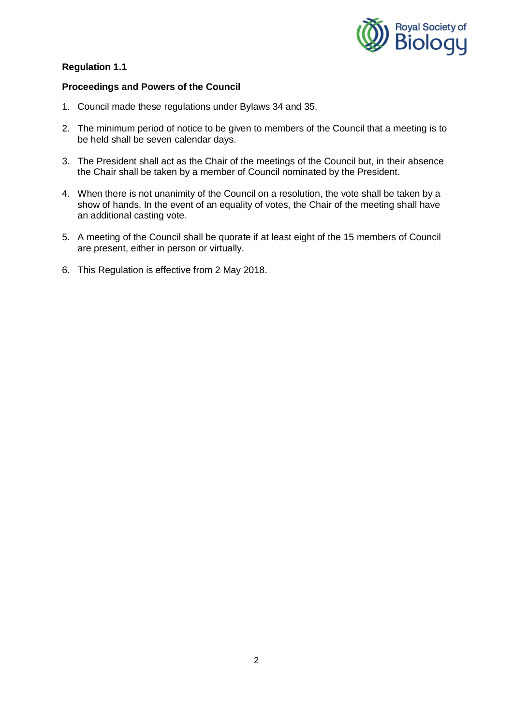

## **Proceedings and Powers of the Council**

- 1. Council made these regulations under Bylaws 34 and 35.
- 2. The minimum period of notice to be given to members of the Council that a meeting is to be held shall be seven calendar days.
- 3. The President shall act as the Chair of the meetings of the Council but, in their absence the Chair shall be taken by a member of Council nominated by the President.
- 4. When there is not unanimity of the Council on a resolution, the vote shall be taken by a show of hands. In the event of an equality of votes, the Chair of the meeting shall have an additional casting vote.
- 5. A meeting of the Council shall be quorate if at least eight of the 15 members of Council are present, either in person or virtually.
- 6. This Regulation is effective from 2 May 2018.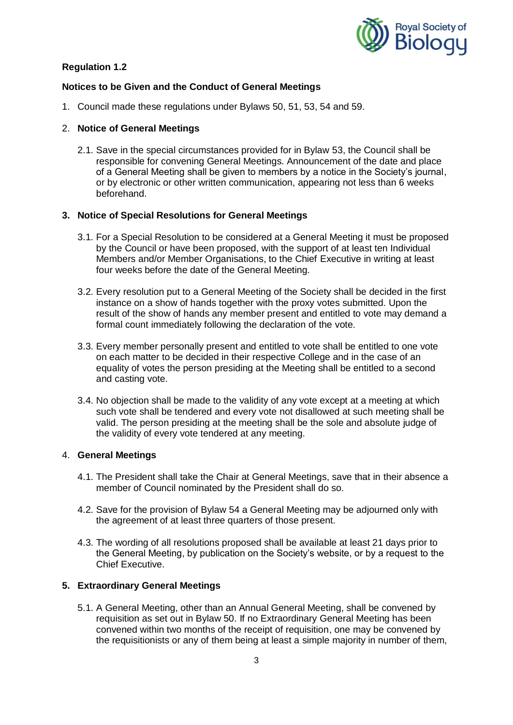

## **Notices to be Given and the Conduct of General Meetings**

1. Council made these regulations under Bylaws 50, 51, 53, 54 and 59.

### 2. **Notice of General Meetings**

2.1. Save in the special circumstances provided for in Bylaw 53, the Council shall be responsible for convening General Meetings. Announcement of the date and place of a General Meeting shall be given to members by a notice in the Society's journal, or by electronic or other written communication, appearing not less than 6 weeks beforehand.

### **3. Notice of Special Resolutions for General Meetings**

- 3.1. For a Special Resolution to be considered at a General Meeting it must be proposed by the Council or have been proposed, with the support of at least ten Individual Members and/or Member Organisations, to the Chief Executive in writing at least four weeks before the date of the General Meeting.
- 3.2. Every resolution put to a General Meeting of the Society shall be decided in the first instance on a show of hands together with the proxy votes submitted. Upon the result of the show of hands any member present and entitled to vote may demand a formal count immediately following the declaration of the vote.
- 3.3. Every member personally present and entitled to vote shall be entitled to one vote on each matter to be decided in their respective College and in the case of an equality of votes the person presiding at the Meeting shall be entitled to a second and casting vote.
- 3.4. No objection shall be made to the validity of any vote except at a meeting at which such vote shall be tendered and every vote not disallowed at such meeting shall be valid. The person presiding at the meeting shall be the sole and absolute judge of the validity of every vote tendered at any meeting.

#### 4. **General Meetings**

- 4.1. The President shall take the Chair at General Meetings, save that in their absence a member of Council nominated by the President shall do so.
- 4.2. Save for the provision of Bylaw 54 a General Meeting may be adjourned only with the agreement of at least three quarters of those present.
- 4.3. The wording of all resolutions proposed shall be available at least 21 days prior to the General Meeting, by publication on the Society's website, or by a request to the Chief Executive.

## **5. Extraordinary General Meetings**

5.1. A General Meeting, other than an Annual General Meeting, shall be convened by requisition as set out in Bylaw 50. If no Extraordinary General Meeting has been convened within two months of the receipt of requisition, one may be convened by the requisitionists or any of them being at least a simple majority in number of them,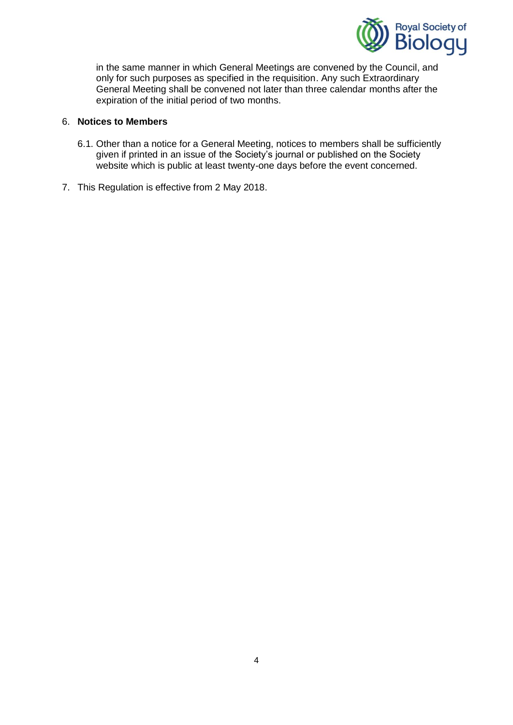

in the same manner in which General Meetings are convened by the Council, and only for such purposes as specified in the requisition. Any such Extraordinary General Meeting shall be convened not later than three calendar months after the expiration of the initial period of two months.

## 6. **Notices to Members**

- 6.1. Other than a notice for a General Meeting, notices to members shall be sufficiently given if printed in an issue of the Society's journal or published on the Society website which is public at least twenty-one days before the event concerned.
- 7. This Regulation is effective from 2 May 2018.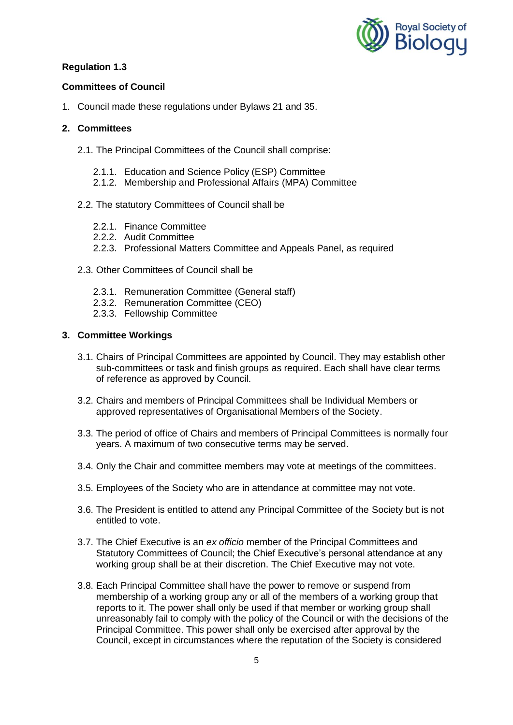

## **Committees of Council**

1. Council made these regulations under Bylaws 21 and 35.

### **2. Committees**

- 2.1. The Principal Committees of the Council shall comprise:
	- 2.1.1. Education and Science Policy (ESP) Committee
	- 2.1.2. Membership and Professional Affairs (MPA) Committee

#### 2.2. The statutory Committees of Council shall be

- 2.2.1. Finance Committee
- 2.2.2. Audit Committee
- 2.2.3. Professional Matters Committee and Appeals Panel, as required
- 2.3. Other Committees of Council shall be
	- 2.3.1. Remuneration Committee (General staff)
	- 2.3.2. Remuneration Committee (CEO)
	- 2.3.3. Fellowship Committee

## **3. Committee Workings**

- 3.1. Chairs of Principal Committees are appointed by Council. They may establish other sub-committees or task and finish groups as required. Each shall have clear terms of reference as approved by Council.
- 3.2. Chairs and members of Principal Committees shall be Individual Members or approved representatives of Organisational Members of the Society.
- 3.3. The period of office of Chairs and members of Principal Committees is normally four years. A maximum of two consecutive terms may be served.
- 3.4. Only the Chair and committee members may vote at meetings of the committees.
- 3.5. Employees of the Society who are in attendance at committee may not vote.
- 3.6. The President is entitled to attend any Principal Committee of the Society but is not entitled to vote.
- 3.7. The Chief Executive is an *ex officio* member of the Principal Committees and Statutory Committees of Council; the Chief Executive's personal attendance at any working group shall be at their discretion. The Chief Executive may not vote.
- 3.8. Each Principal Committee shall have the power to remove or suspend from membership of a working group any or all of the members of a working group that reports to it. The power shall only be used if that member or working group shall unreasonably fail to comply with the policy of the Council or with the decisions of the Principal Committee. This power shall only be exercised after approval by the Council, except in circumstances where the reputation of the Society is considered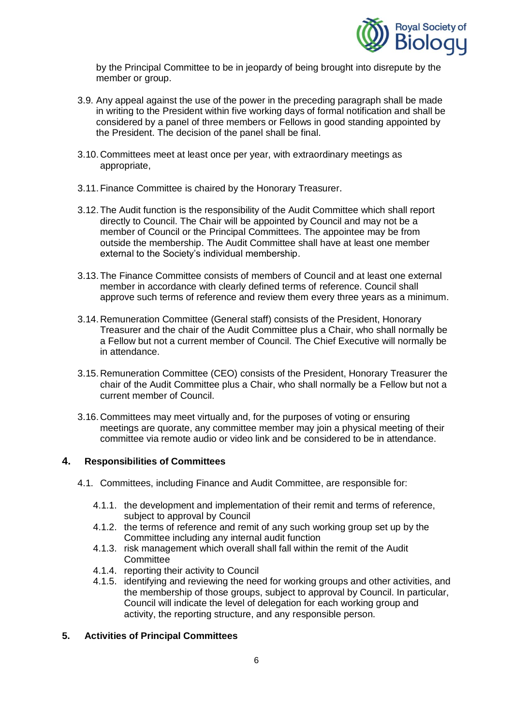

by the Principal Committee to be in jeopardy of being brought into disrepute by the member or group.

- 3.9. Any appeal against the use of the power in the preceding paragraph shall be made in writing to the President within five working days of formal notification and shall be considered by a panel of three members or Fellows in good standing appointed by the President. The decision of the panel shall be final.
- 3.10.Committees meet at least once per year, with extraordinary meetings as appropriate,
- 3.11.Finance Committee is chaired by the Honorary Treasurer.
- 3.12.The Audit function is the responsibility of the Audit Committee which shall report directly to Council. The Chair will be appointed by Council and may not be a member of Council or the Principal Committees. The appointee may be from outside the membership. The Audit Committee shall have at least one member external to the Society's individual membership.
- 3.13.The Finance Committee consists of members of Council and at least one external member in accordance with clearly defined terms of reference. Council shall approve such terms of reference and review them every three years as a minimum.
- 3.14.Remuneration Committee (General staff) consists of the President, Honorary Treasurer and the chair of the Audit Committee plus a Chair, who shall normally be a Fellow but not a current member of Council. The Chief Executive will normally be in attendance.
- 3.15.Remuneration Committee (CEO) consists of the President, Honorary Treasurer the chair of the Audit Committee plus a Chair, who shall normally be a Fellow but not a current member of Council.
- 3.16.Committees may meet virtually and, for the purposes of voting or ensuring meetings are quorate, any committee member may join a physical meeting of their committee via remote audio or video link and be considered to be in attendance.

#### **4. Responsibilities of Committees**

- 4.1. Committees, including Finance and Audit Committee, are responsible for:
	- 4.1.1. the development and implementation of their remit and terms of reference, subject to approval by Council
	- 4.1.2. the terms of reference and remit of any such working group set up by the Committee including any internal audit function
	- 4.1.3. risk management which overall shall fall within the remit of the Audit **Committee**
	- 4.1.4. reporting their activity to Council
	- 4.1.5. identifying and reviewing the need for working groups and other activities, and the membership of those groups, subject to approval by Council. In particular, Council will indicate the level of delegation for each working group and activity, the reporting structure, and any responsible person.

#### **5. Activities of Principal Committees**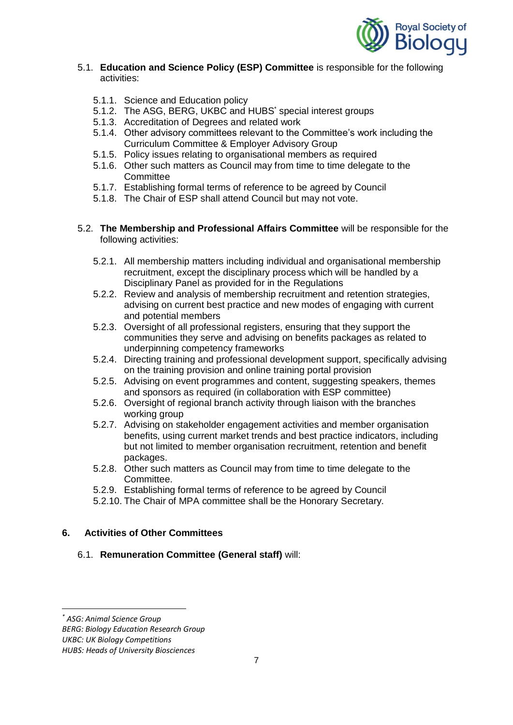

#### 5.1. **Education and Science Policy (ESP) Committee** is responsible for the following activities:

- 5.1.1. Science and Education policy
- 5.1.2. The ASG, BERG, UKBC and HUBS<sup>\*</sup> special interest groups
- 5.1.3. Accreditation of Degrees and related work
- 5.1.4. Other advisory committees relevant to the Committee's work including the Curriculum Committee & Employer Advisory Group
- 5.1.5. Policy issues relating to organisational members as required
- 5.1.6. Other such matters as Council may from time to time delegate to the **Committee**
- 5.1.7. Establishing formal terms of reference to be agreed by Council
- 5.1.8. The Chair of ESP shall attend Council but may not vote.
- 5.2. **The Membership and Professional Affairs Committee** will be responsible for the following activities:
	- 5.2.1. All membership matters including individual and organisational membership recruitment, except the disciplinary process which will be handled by a Disciplinary Panel as provided for in the Regulations
	- 5.2.2. Review and analysis of membership recruitment and retention strategies, advising on current best practice and new modes of engaging with current and potential members
	- 5.2.3. Oversight of all professional registers, ensuring that they support the communities they serve and advising on benefits packages as related to underpinning competency frameworks
	- 5.2.4. Directing training and professional development support, specifically advising on the training provision and online training portal provision
	- 5.2.5. Advising on event programmes and content, suggesting speakers, themes and sponsors as required (in collaboration with ESP committee)
	- 5.2.6. Oversight of regional branch activity through liaison with the branches working group
	- 5.2.7. Advising on stakeholder engagement activities and member organisation benefits, using current market trends and best practice indicators, including but not limited to member organisation recruitment, retention and benefit packages.
	- 5.2.8. Other such matters as Council may from time to time delegate to the Committee.
	- 5.2.9. Establishing formal terms of reference to be agreed by Council
	- 5.2.10. The Chair of MPA committee shall be the Honorary Secretary.

### **6. Activities of Other Committees**

## 6.1. **Remuneration Committee (General staff)** will:

**.** 

*UKBC: UK Biology Competitions*

*<sup>\*</sup> ASG: Animal Science Group*

*BERG: Biology Education Research Group*

*HUBS: Heads of University Biosciences*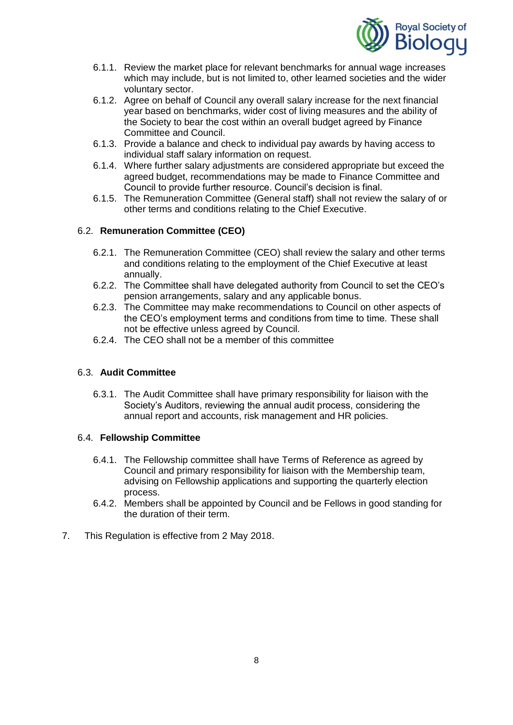

- 6.1.1. Review the market place for relevant benchmarks for annual wage increases which may include, but is not limited to, other learned societies and the wider voluntary sector.
- 6.1.2. Agree on behalf of Council any overall salary increase for the next financial year based on benchmarks, wider cost of living measures and the ability of the Society to bear the cost within an overall budget agreed by Finance Committee and Council.
- 6.1.3. Provide a balance and check to individual pay awards by having access to individual staff salary information on request.
- 6.1.4. Where further salary adjustments are considered appropriate but exceed the agreed budget, recommendations may be made to Finance Committee and Council to provide further resource. Council's decision is final.
- 6.1.5. The Remuneration Committee (General staff) shall not review the salary of or other terms and conditions relating to the Chief Executive.

## 6.2. **Remuneration Committee (CEO)**

- 6.2.1. The Remuneration Committee (CEO) shall review the salary and other terms and conditions relating to the employment of the Chief Executive at least annually.
- 6.2.2. The Committee shall have delegated authority from Council to set the CEO's pension arrangements, salary and any applicable bonus.
- 6.2.3. The Committee may make recommendations to Council on other aspects of the CEO's employment terms and conditions from time to time. These shall not be effective unless agreed by Council.
- 6.2.4. The CEO shall not be a member of this committee

## 6.3. **Audit Committee**

6.3.1. The Audit Committee shall have primary responsibility for liaison with the Society's Auditors, reviewing the annual audit process, considering the annual report and accounts, risk management and HR policies.

## 6.4. **Fellowship Committee**

- 6.4.1. The Fellowship committee shall have Terms of Reference as agreed by Council and primary responsibility for liaison with the Membership team, advising on Fellowship applications and supporting the quarterly election process.
- 6.4.2. Members shall be appointed by Council and be Fellows in good standing for the duration of their term.
- 7. This Regulation is effective from 2 May 2018.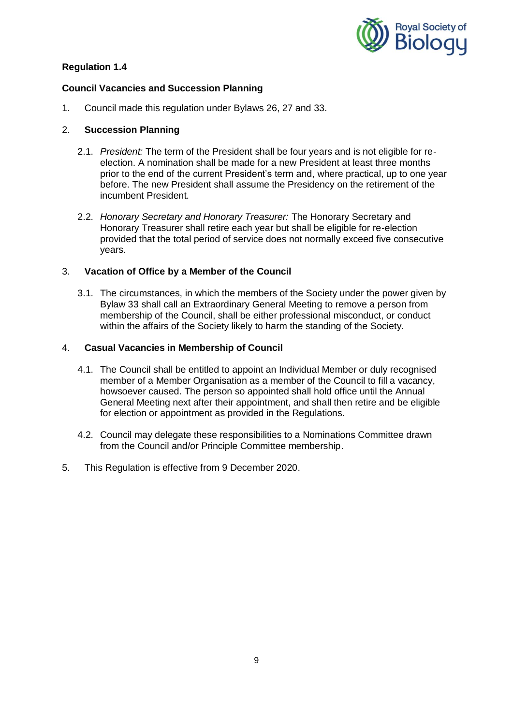

### **Council Vacancies and Succession Planning**

1. Council made this regulation under Bylaws 26, 27 and 33.

### 2. **Succession Planning**

- 2.1. *President:* The term of the President shall be four years and is not eligible for reelection. A nomination shall be made for a new President at least three months prior to the end of the current President's term and, where practical, up to one year before. The new President shall assume the Presidency on the retirement of the incumbent President.
- 2.2. *Honorary Secretary and Honorary Treasurer:* The Honorary Secretary and Honorary Treasurer shall retire each year but shall be eligible for re-election provided that the total period of service does not normally exceed five consecutive years.

### 3. **Vacation of Office by a Member of the Council**

3.1. The circumstances, in which the members of the Society under the power given by Bylaw 33 shall call an Extraordinary General Meeting to remove a person from membership of the Council, shall be either professional misconduct, or conduct within the affairs of the Society likely to harm the standing of the Society.

### 4. **Casual Vacancies in Membership of Council**

- 4.1. The Council shall be entitled to appoint an Individual Member or duly recognised member of a Member Organisation as a member of the Council to fill a vacancy, howsoever caused. The person so appointed shall hold office until the Annual General Meeting next after their appointment, and shall then retire and be eligible for election or appointment as provided in the Regulations.
- 4.2. Council may delegate these responsibilities to a Nominations Committee drawn from the Council and/or Principle Committee membership.
- 5. This Regulation is effective from 9 December 2020.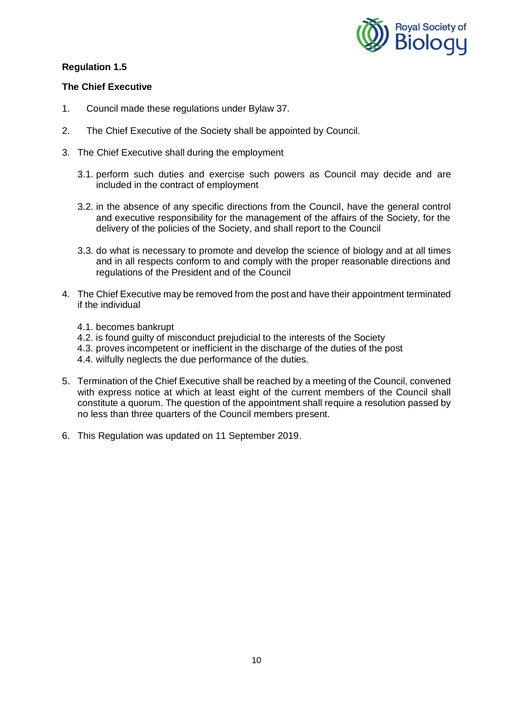

## **The Chief Executive**

- 1. Council made these regulations under Bylaw 37.
- 2. The Chief Executive of the Society shall be appointed by Council.
- 3. The Chief Executive shall during the employment
	- 3.1. perform such duties and exercise such powers as Council may decide and are included in the contract of employment
	- 3.2. in the absence of any specific directions from the Council, have the general control and executive responsibility for the management of the affairs of the Society, for the delivery of the policies of the Society, and shall report to the Council
	- 3.3. do what is necessary to promote and develop the science of biology and at all times and in all respects conform to and comply with the proper reasonable directions and regulations of the President and of the Council
- 4. The Chief Executive may be removed from the post and have their appointment terminated if the individual
	- 4.1. becomes bankrupt
	- 4.2. is found guilty of misconduct prejudicial to the interests of the Society
	- 4.3. proves incompetent or inefficient in the discharge of the duties of the post
	- 4.4. wilfully neglects the due performance of the duties.
- 5. Termination of the Chief Executive shall be reached by a meeting of the Council, convened with express notice at which at least eight of the current members of the Council shall constitute a quorum. The question of the appointment shall require a resolution passed by no less than three quarters of the Council members present.
- 6. This Regulation was updated on 11 September 2019.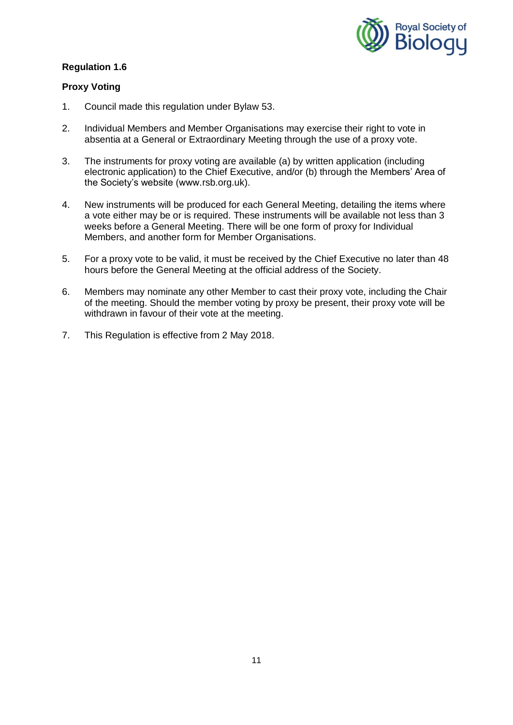

### **Proxy Voting**

- 1. Council made this regulation under Bylaw 53.
- 2. Individual Members and Member Organisations may exercise their right to vote in absentia at a General or Extraordinary Meeting through the use of a proxy vote.
- 3. The instruments for proxy voting are available (a) by written application (including electronic application) to the Chief Executive, and/or (b) through the Members' Area of the Society's website (www.rsb.org.uk).
- 4. New instruments will be produced for each General Meeting, detailing the items where a vote either may be or is required. These instruments will be available not less than 3 weeks before a General Meeting. There will be one form of proxy for Individual Members, and another form for Member Organisations.
- 5. For a proxy vote to be valid, it must be received by the Chief Executive no later than 48 hours before the General Meeting at the official address of the Society.
- 6. Members may nominate any other Member to cast their proxy vote, including the Chair of the meeting. Should the member voting by proxy be present, their proxy vote will be withdrawn in favour of their vote at the meeting.
- 7. This Regulation is effective from 2 May 2018.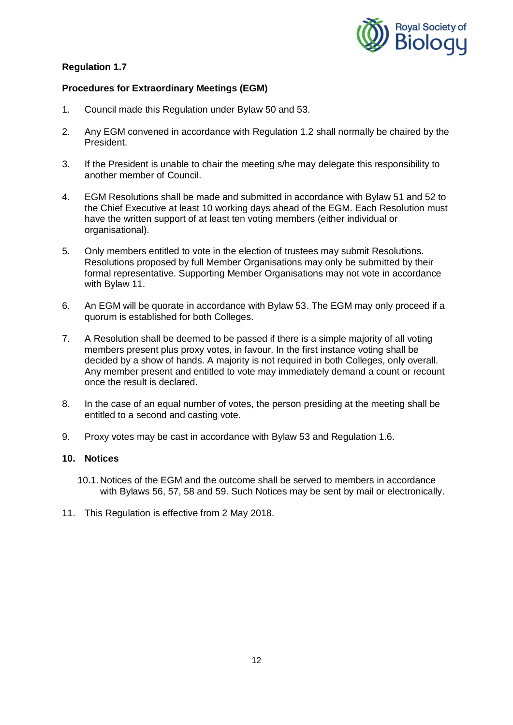

# **Procedures for Extraordinary Meetings (EGM)**

- 1. Council made this Regulation under Bylaw 50 and 53.
- 2. Any EGM convened in accordance with Regulation 1.2 shall normally be chaired by the President.
- 3. If the President is unable to chair the meeting s/he may delegate this responsibility to another member of Council.
- 4. EGM Resolutions shall be made and submitted in accordance with Bylaw 51 and 52 to the Chief Executive at least 10 working days ahead of the EGM. Each Resolution must have the written support of at least ten voting members (either individual or organisational).
- 5. Only members entitled to vote in the election of trustees may submit Resolutions. Resolutions proposed by full Member Organisations may only be submitted by their formal representative. Supporting Member Organisations may not vote in accordance with Bylaw 11.
- 6. An EGM will be quorate in accordance with Bylaw 53. The EGM may only proceed if a quorum is established for both Colleges.
- 7. A Resolution shall be deemed to be passed if there is a simple majority of all voting members present plus proxy votes, in favour. In the first instance voting shall be decided by a show of hands. A majority is not required in both Colleges, only overall. Any member present and entitled to vote may immediately demand a count or recount once the result is declared.
- 8. In the case of an equal number of votes, the person presiding at the meeting shall be entitled to a second and casting vote.
- 9. Proxy votes may be cast in accordance with Bylaw 53 and Regulation 1.6.

### **10. Notices**

- 10.1.Notices of the EGM and the outcome shall be served to members in accordance with Bylaws 56, 57, 58 and 59. Such Notices may be sent by mail or electronically.
- 11. This Regulation is effective from 2 May 2018.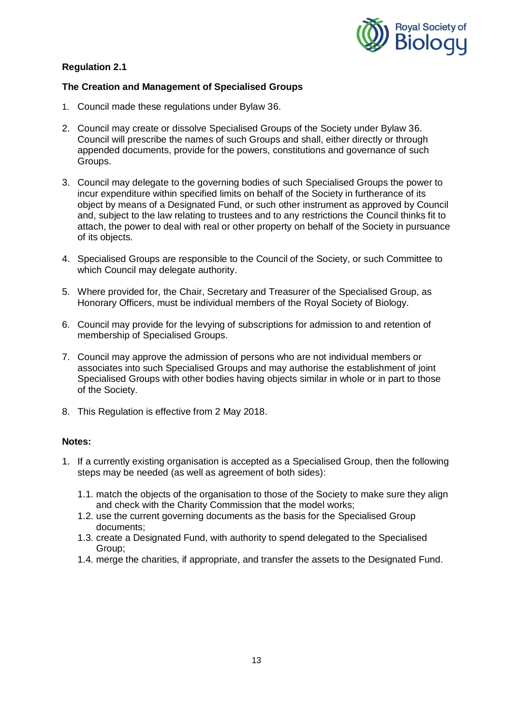

## **The Creation and Management of Specialised Groups**

- 1. Council made these regulations under Bylaw 36.
- 2. Council may create or dissolve Specialised Groups of the Society under Bylaw 36. Council will prescribe the names of such Groups and shall, either directly or through appended documents, provide for the powers, constitutions and governance of such Groups.
- 3. Council may delegate to the governing bodies of such Specialised Groups the power to incur expenditure within specified limits on behalf of the Society in furtherance of its object by means of a Designated Fund, or such other instrument as approved by Council and, subject to the law relating to trustees and to any restrictions the Council thinks fit to attach, the power to deal with real or other property on behalf of the Society in pursuance of its objects.
- 4. Specialised Groups are responsible to the Council of the Society, or such Committee to which Council may delegate authority.
- 5. Where provided for, the Chair, Secretary and Treasurer of the Specialised Group, as Honorary Officers, must be individual members of the Royal Society of Biology.
- 6. Council may provide for the levying of subscriptions for admission to and retention of membership of Specialised Groups.
- 7. Council may approve the admission of persons who are not individual members or associates into such Specialised Groups and may authorise the establishment of joint Specialised Groups with other bodies having objects similar in whole or in part to those of the Society.
- 8. This Regulation is effective from 2 May 2018.

#### **Notes:**

- 1. If a currently existing organisation is accepted as a Specialised Group, then the following steps may be needed (as well as agreement of both sides):
	- 1.1. match the objects of the organisation to those of the Society to make sure they align and check with the Charity Commission that the model works;
	- 1.2. use the current governing documents as the basis for the Specialised Group documents;
	- 1.3. create a Designated Fund, with authority to spend delegated to the Specialised Group;
	- 1.4. merge the charities, if appropriate, and transfer the assets to the Designated Fund.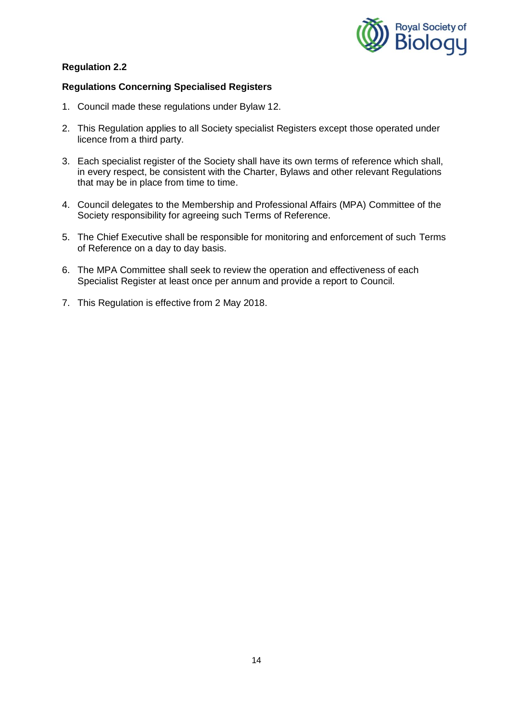

## **Regulations Concerning Specialised Registers**

- 1. Council made these regulations under Bylaw 12.
- 2. This Regulation applies to all Society specialist Registers except those operated under licence from a third party.
- 3. Each specialist register of the Society shall have its own terms of reference which shall, in every respect, be consistent with the Charter, Bylaws and other relevant Regulations that may be in place from time to time.
- 4. Council delegates to the Membership and Professional Affairs (MPA) Committee of the Society responsibility for agreeing such Terms of Reference.
- 5. The Chief Executive shall be responsible for monitoring and enforcement of such Terms of Reference on a day to day basis.
- 6. The MPA Committee shall seek to review the operation and effectiveness of each Specialist Register at least once per annum and provide a report to Council.
- 7. This Regulation is effective from 2 May 2018.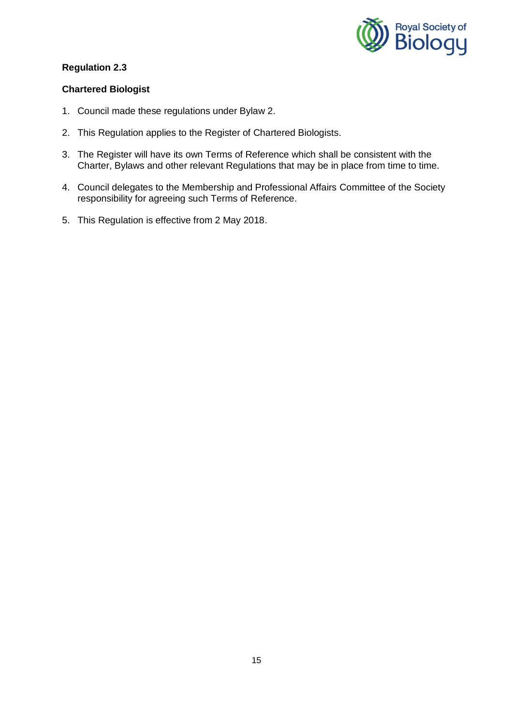

## **Chartered Biologist**

- 1. Council made these regulations under Bylaw 2.
- 2. This Regulation applies to the Register of Chartered Biologists.
- 3. The Register will have its own Terms of Reference which shall be consistent with the Charter, Bylaws and other relevant Regulations that may be in place from time to time.
- 4. Council delegates to the Membership and Professional Affairs Committee of the Society responsibility for agreeing such Terms of Reference.
- 5. This Regulation is effective from 2 May 2018.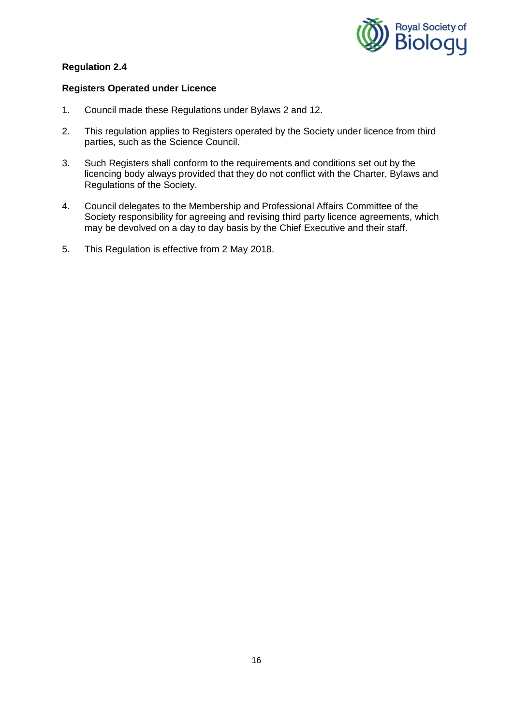

### **Registers Operated under Licence**

- 1. Council made these Regulations under Bylaws 2 and 12.
- 2. This regulation applies to Registers operated by the Society under licence from third parties, such as the Science Council.
- 3. Such Registers shall conform to the requirements and conditions set out by the licencing body always provided that they do not conflict with the Charter, Bylaws and Regulations of the Society.
- 4. Council delegates to the Membership and Professional Affairs Committee of the Society responsibility for agreeing and revising third party licence agreements, which may be devolved on a day to day basis by the Chief Executive and their staff.
- 5. This Regulation is effective from 2 May 2018.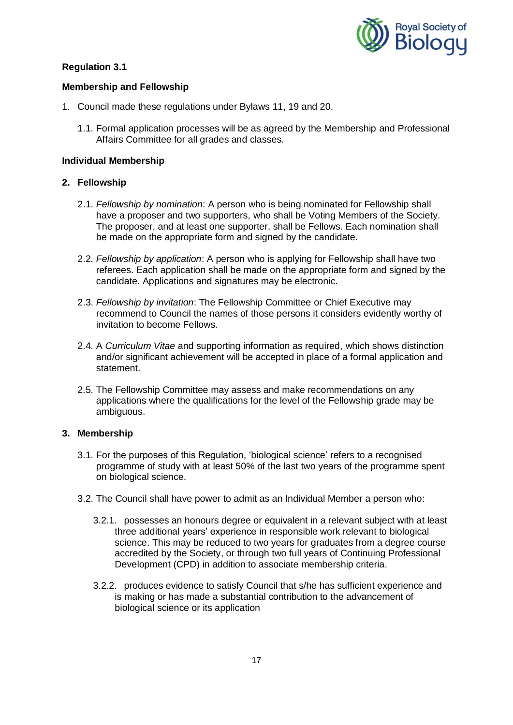

## **Membership and Fellowship**

- 1. Council made these regulations under Bylaws 11, 19 and 20.
	- 1.1. Formal application processes will be as agreed by the Membership and Professional Affairs Committee for all grades and classes.

### **Individual Membership**

### **2. Fellowship**

- 2.1. *Fellowship by nomination*: A person who is being nominated for Fellowship shall have a proposer and two supporters, who shall be Voting Members of the Society. The proposer, and at least one supporter, shall be Fellows. Each nomination shall be made on the appropriate form and signed by the candidate.
- 2.2. *Fellowship by application*: A person who is applying for Fellowship shall have two referees. Each application shall be made on the appropriate form and signed by the candidate. Applications and signatures may be electronic.
- 2.3. *Fellowship by invitation*: The Fellowship Committee or Chief Executive may recommend to Council the names of those persons it considers evidently worthy of invitation to become Fellows.
- 2.4. A *Curriculum Vitae* and supporting information as required, which shows distinction and/or significant achievement will be accepted in place of a formal application and statement.
- 2.5. The Fellowship Committee may assess and make recommendations on any applications where the qualifications for the level of the Fellowship grade may be ambiguous.

#### **3. Membership**

- 3.1. For the purposes of this Regulation, 'biological science' refers to a recognised programme of study with at least 50% of the last two years of the programme spent on biological science.
- 3.2. The Council shall have power to admit as an Individual Member a person who:
	- 3.2.1. possesses an honours degree or equivalent in a relevant subject with at least three additional years' experience in responsible work relevant to biological science. This may be reduced to two years for graduates from a degree course accredited by the Society, or through two full years of Continuing Professional Development (CPD) in addition to associate membership criteria.
	- 3.2.2. produces evidence to satisfy Council that s/he has sufficient experience and is making or has made a substantial contribution to the advancement of biological science or its application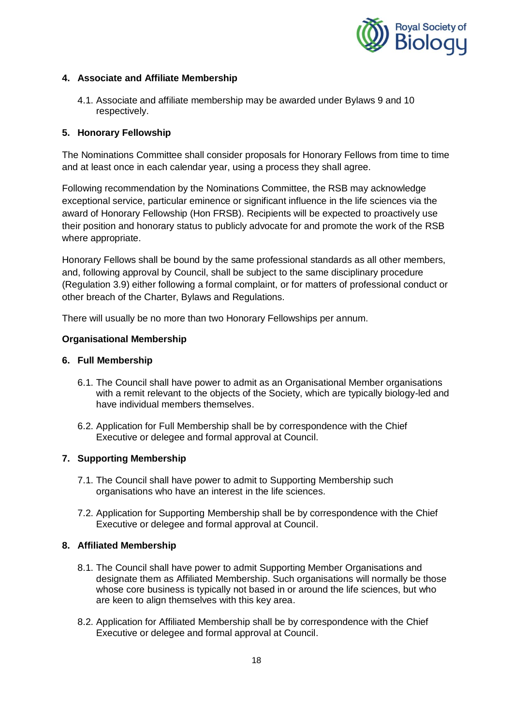

## **4. Associate and Affiliate Membership**

4.1. Associate and affiliate membership may be awarded under Bylaws 9 and 10 respectively.

## **5. Honorary Fellowship**

The Nominations Committee shall consider proposals for Honorary Fellows from time to time and at least once in each calendar year, using a process they shall agree.

Following recommendation by the Nominations Committee, the RSB may acknowledge exceptional service, particular eminence or significant influence in the life sciences via the award of Honorary Fellowship (Hon FRSB). Recipients will be expected to proactively use their position and honorary status to publicly advocate for and promote the work of the RSB where appropriate.

Honorary Fellows shall be bound by the same professional standards as all other members, and, following approval by Council, shall be subject to the same disciplinary procedure (Regulation 3.9) either following a formal complaint, or for matters of professional conduct or other breach of the Charter, Bylaws and Regulations.

There will usually be no more than two Honorary Fellowships per annum.

## **Organisational Membership**

### **6. Full Membership**

- 6.1. The Council shall have power to admit as an Organisational Member organisations with a remit relevant to the objects of the Society, which are typically biology-led and have individual members themselves.
- 6.2. Application for Full Membership shall be by correspondence with the Chief Executive or delegee and formal approval at Council.

#### **7. Supporting Membership**

- 7.1. The Council shall have power to admit to Supporting Membership such organisations who have an interest in the life sciences.
- 7.2. Application for Supporting Membership shall be by correspondence with the Chief Executive or delegee and formal approval at Council.

## **8. Affiliated Membership**

- 8.1. The Council shall have power to admit Supporting Member Organisations and designate them as Affiliated Membership. Such organisations will normally be those whose core business is typically not based in or around the life sciences, but who are keen to align themselves with this key area.
- 8.2. Application for Affiliated Membership shall be by correspondence with the Chief Executive or delegee and formal approval at Council.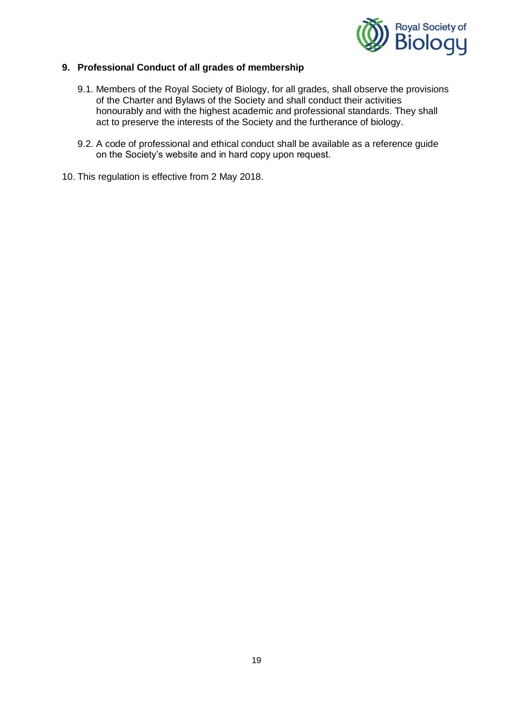

### **9. Professional Conduct of all grades of membership**

- 9.1. Members of the Royal Society of Biology, for all grades, shall observe the provisions of the Charter and Bylaws of the Society and shall conduct their activities honourably and with the highest academic and professional standards. They shall act to preserve the interests of the Society and the furtherance of biology.
- 9.2. A code of professional and ethical conduct shall be available as a reference guide on the Society's website and in hard copy upon request.
- 10. This regulation is effective from 2 May 2018.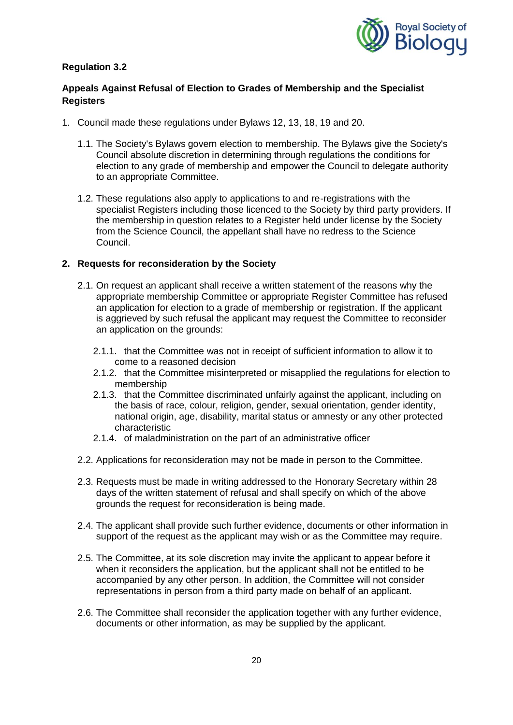

# **Appeals Against Refusal of Election to Grades of Membership and the Specialist Registers**

- 1. Council made these regulations under Bylaws 12, 13, 18, 19 and 20.
	- 1.1. The Society's Bylaws govern election to membership. The Bylaws give the Society's Council absolute discretion in determining through regulations the conditions for election to any grade of membership and empower the Council to delegate authority to an appropriate Committee.
	- 1.2. These regulations also apply to applications to and re-registrations with the specialist Registers including those licenced to the Society by third party providers. If the membership in question relates to a Register held under license by the Society from the Science Council, the appellant shall have no redress to the Science Council.

### **2. Requests for reconsideration by the Society**

- 2.1. On request an applicant shall receive a written statement of the reasons why the appropriate membership Committee or appropriate Register Committee has refused an application for election to a grade of membership or registration. If the applicant is aggrieved by such refusal the applicant may request the Committee to reconsider an application on the grounds:
	- 2.1.1. that the Committee was not in receipt of sufficient information to allow it to come to a reasoned decision
	- 2.1.2. that the Committee misinterpreted or misapplied the regulations for election to membership
	- 2.1.3. that the Committee discriminated unfairly against the applicant, including on the basis of race, colour, religion, gender, sexual orientation, gender identity, national origin, age, disability, marital status or amnesty or any other protected characteristic
	- 2.1.4. of maladministration on the part of an administrative officer
- 2.2. Applications for reconsideration may not be made in person to the Committee.
- 2.3. Requests must be made in writing addressed to the Honorary Secretary within 28 days of the written statement of refusal and shall specify on which of the above grounds the request for reconsideration is being made.
- 2.4. The applicant shall provide such further evidence, documents or other information in support of the request as the applicant may wish or as the Committee may require.
- 2.5. The Committee, at its sole discretion may invite the applicant to appear before it when it reconsiders the application, but the applicant shall not be entitled to be accompanied by any other person. In addition, the Committee will not consider representations in person from a third party made on behalf of an applicant.
- 2.6. The Committee shall reconsider the application together with any further evidence, documents or other information, as may be supplied by the applicant.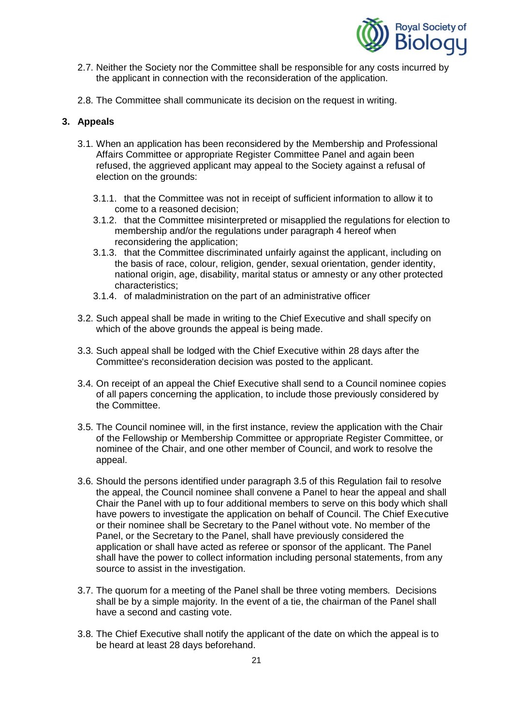

- 2.7. Neither the Society nor the Committee shall be responsible for any costs incurred by the applicant in connection with the reconsideration of the application.
- 2.8. The Committee shall communicate its decision on the request in writing.

### **3. Appeals**

- 3.1. When an application has been reconsidered by the Membership and Professional Affairs Committee or appropriate Register Committee Panel and again been refused, the aggrieved applicant may appeal to the Society against a refusal of election on the grounds:
	- 3.1.1. that the Committee was not in receipt of sufficient information to allow it to come to a reasoned decision;
	- 3.1.2. that the Committee misinterpreted or misapplied the regulations for election to membership and/or the regulations under paragraph 4 hereof when reconsidering the application;
	- 3.1.3. that the Committee discriminated unfairly against the applicant, including on the basis of race, colour, religion, gender, sexual orientation, gender identity, national origin, age, disability, marital status or amnesty or any other protected characteristics;
	- 3.1.4. of maladministration on the part of an administrative officer
- 3.2. Such appeal shall be made in writing to the Chief Executive and shall specify on which of the above grounds the appeal is being made.
- 3.3. Such appeal shall be lodged with the Chief Executive within 28 days after the Committee's reconsideration decision was posted to the applicant.
- 3.4. On receipt of an appeal the Chief Executive shall send to a Council nominee copies of all papers concerning the application, to include those previously considered by the Committee.
- 3.5. The Council nominee will, in the first instance, review the application with the Chair of the Fellowship or Membership Committee or appropriate Register Committee, or nominee of the Chair, and one other member of Council, and work to resolve the appeal.
- 3.6. Should the persons identified under paragraph 3.5 of this Regulation fail to resolve the appeal, the Council nominee shall convene a Panel to hear the appeal and shall Chair the Panel with up to four additional members to serve on this body which shall have powers to investigate the application on behalf of Council. The Chief Executive or their nominee shall be Secretary to the Panel without vote. No member of the Panel, or the Secretary to the Panel, shall have previously considered the application or shall have acted as referee or sponsor of the applicant. The Panel shall have the power to collect information including personal statements, from any source to assist in the investigation.
- 3.7. The quorum for a meeting of the Panel shall be three voting members. Decisions shall be by a simple majority. In the event of a tie, the chairman of the Panel shall have a second and casting vote.
- 3.8. The Chief Executive shall notify the applicant of the date on which the appeal is to be heard at least 28 days beforehand.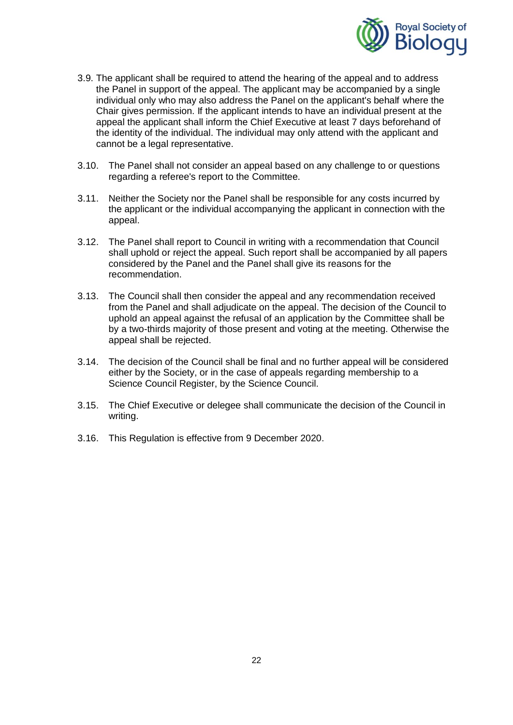

- 3.9. The applicant shall be required to attend the hearing of the appeal and to address the Panel in support of the appeal. The applicant may be accompanied by a single individual only who may also address the Panel on the applicant's behalf where the Chair gives permission. If the applicant intends to have an individual present at the appeal the applicant shall inform the Chief Executive at least 7 days beforehand of the identity of the individual. The individual may only attend with the applicant and cannot be a legal representative.
- 3.10. The Panel shall not consider an appeal based on any challenge to or questions regarding a referee's report to the Committee.
- 3.11. Neither the Society nor the Panel shall be responsible for any costs incurred by the applicant or the individual accompanying the applicant in connection with the appeal.
- 3.12. The Panel shall report to Council in writing with a recommendation that Council shall uphold or reject the appeal. Such report shall be accompanied by all papers considered by the Panel and the Panel shall give its reasons for the recommendation.
- 3.13. The Council shall then consider the appeal and any recommendation received from the Panel and shall adjudicate on the appeal. The decision of the Council to uphold an appeal against the refusal of an application by the Committee shall be by a two-thirds majority of those present and voting at the meeting. Otherwise the appeal shall be rejected.
- 3.14. The decision of the Council shall be final and no further appeal will be considered either by the Society, or in the case of appeals regarding membership to a Science Council Register, by the Science Council.
- 3.15. The Chief Executive or delegee shall communicate the decision of the Council in writing.
- 3.16. This Regulation is effective from 9 December 2020.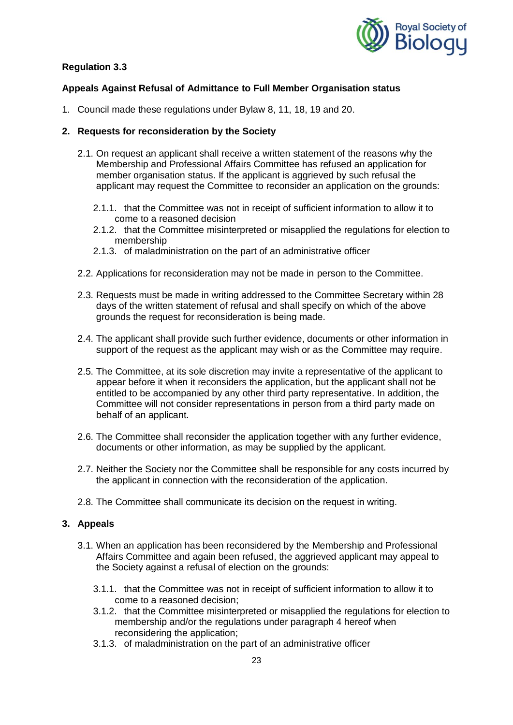

# **Appeals Against Refusal of Admittance to Full Member Organisation status**

1. Council made these regulations under Bylaw 8, 11, 18, 19 and 20.

## **2. Requests for reconsideration by the Society**

- 2.1. On request an applicant shall receive a written statement of the reasons why the Membership and Professional Affairs Committee has refused an application for member organisation status. If the applicant is aggrieved by such refusal the applicant may request the Committee to reconsider an application on the grounds:
	- 2.1.1. that the Committee was not in receipt of sufficient information to allow it to come to a reasoned decision
	- 2.1.2. that the Committee misinterpreted or misapplied the regulations for election to membership
	- 2.1.3. of maladministration on the part of an administrative officer
- 2.2. Applications for reconsideration may not be made in person to the Committee.
- 2.3. Requests must be made in writing addressed to the Committee Secretary within 28 days of the written statement of refusal and shall specify on which of the above grounds the request for reconsideration is being made.
- 2.4. The applicant shall provide such further evidence, documents or other information in support of the request as the applicant may wish or as the Committee may require.
- 2.5. The Committee, at its sole discretion may invite a representative of the applicant to appear before it when it reconsiders the application, but the applicant shall not be entitled to be accompanied by any other third party representative. In addition, the Committee will not consider representations in person from a third party made on behalf of an applicant.
- 2.6. The Committee shall reconsider the application together with any further evidence, documents or other information, as may be supplied by the applicant.
- 2.7. Neither the Society nor the Committee shall be responsible for any costs incurred by the applicant in connection with the reconsideration of the application.
- 2.8. The Committee shall communicate its decision on the request in writing.

#### **3. Appeals**

- 3.1. When an application has been reconsidered by the Membership and Professional Affairs Committee and again been refused, the aggrieved applicant may appeal to the Society against a refusal of election on the grounds:
	- 3.1.1. that the Committee was not in receipt of sufficient information to allow it to come to a reasoned decision;
	- 3.1.2. that the Committee misinterpreted or misapplied the regulations for election to membership and/or the regulations under paragraph 4 hereof when reconsidering the application;
	- 3.1.3. of maladministration on the part of an administrative officer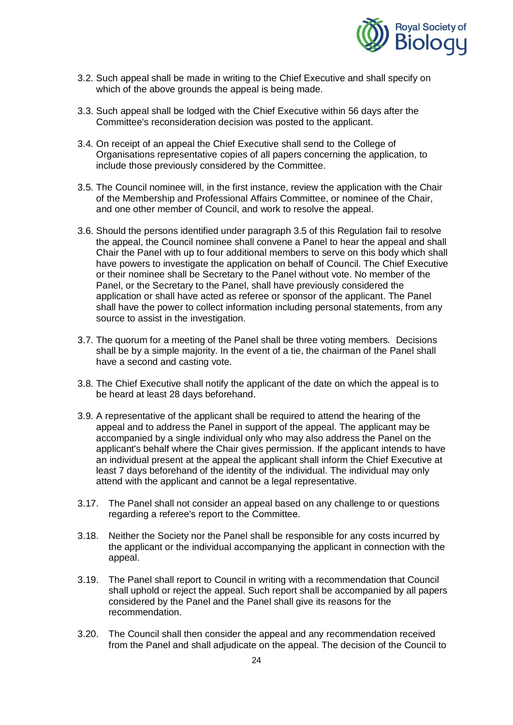

- 3.2. Such appeal shall be made in writing to the Chief Executive and shall specify on which of the above grounds the appeal is being made.
- 3.3. Such appeal shall be lodged with the Chief Executive within 56 days after the Committee's reconsideration decision was posted to the applicant.
- 3.4. On receipt of an appeal the Chief Executive shall send to the College of Organisations representative copies of all papers concerning the application, to include those previously considered by the Committee.
- 3.5. The Council nominee will, in the first instance, review the application with the Chair of the Membership and Professional Affairs Committee, or nominee of the Chair, and one other member of Council, and work to resolve the appeal.
- 3.6. Should the persons identified under paragraph 3.5 of this Regulation fail to resolve the appeal, the Council nominee shall convene a Panel to hear the appeal and shall Chair the Panel with up to four additional members to serve on this body which shall have powers to investigate the application on behalf of Council. The Chief Executive or their nominee shall be Secretary to the Panel without vote. No member of the Panel, or the Secretary to the Panel, shall have previously considered the application or shall have acted as referee or sponsor of the applicant. The Panel shall have the power to collect information including personal statements, from any source to assist in the investigation.
- 3.7. The quorum for a meeting of the Panel shall be three voting members. Decisions shall be by a simple majority. In the event of a tie, the chairman of the Panel shall have a second and casting vote.
- 3.8. The Chief Executive shall notify the applicant of the date on which the appeal is to be heard at least 28 days beforehand.
- 3.9. A representative of the applicant shall be required to attend the hearing of the appeal and to address the Panel in support of the appeal. The applicant may be accompanied by a single individual only who may also address the Panel on the applicant's behalf where the Chair gives permission. If the applicant intends to have an individual present at the appeal the applicant shall inform the Chief Executive at least 7 days beforehand of the identity of the individual. The individual may only attend with the applicant and cannot be a legal representative.
- 3.17. The Panel shall not consider an appeal based on any challenge to or questions regarding a referee's report to the Committee.
- 3.18. Neither the Society nor the Panel shall be responsible for any costs incurred by the applicant or the individual accompanying the applicant in connection with the appeal.
- 3.19. The Panel shall report to Council in writing with a recommendation that Council shall uphold or reject the appeal. Such report shall be accompanied by all papers considered by the Panel and the Panel shall give its reasons for the recommendation.
- 3.20. The Council shall then consider the appeal and any recommendation received from the Panel and shall adjudicate on the appeal. The decision of the Council to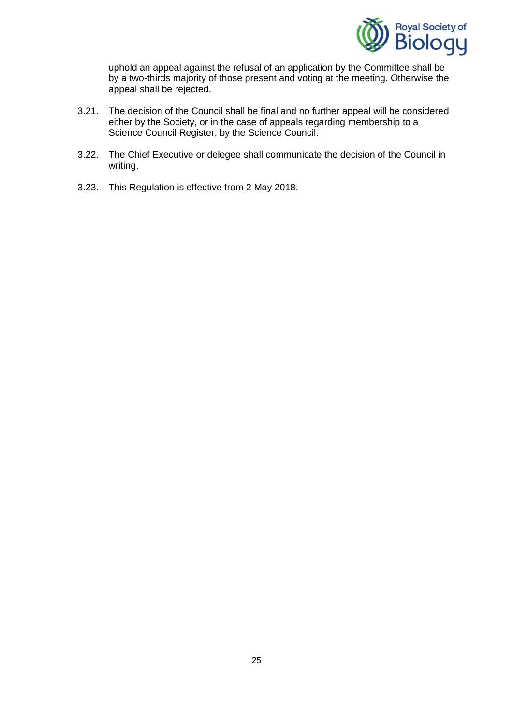

uphold an appeal against the refusal of an application by the Committee shall be by a two-thirds majority of those present and voting at the meeting. Otherwise the appeal shall be rejected.

- 3.21. The decision of the Council shall be final and no further appeal will be considered either by the Society, or in the case of appeals regarding membership to a Science Council Register, by the Science Council.
- 3.22. The Chief Executive or delegee shall communicate the decision of the Council in writing.
- 3.23. This Regulation is effective from 2 May 2018.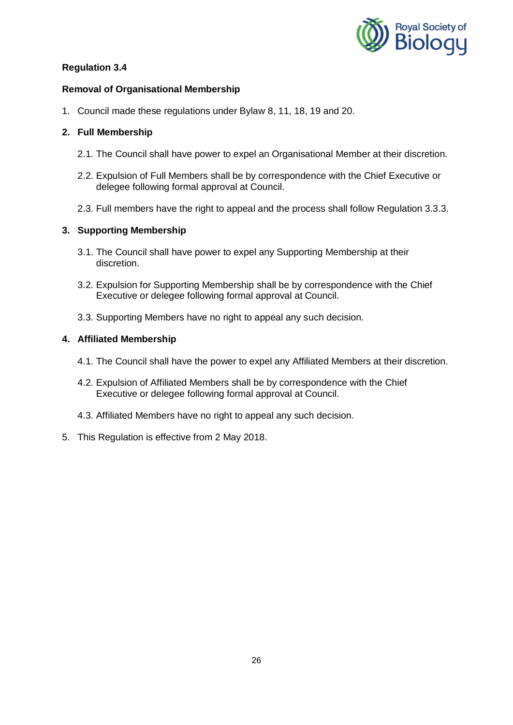

# **Removal of Organisational Membership**

1. Council made these regulations under Bylaw 8, 11, 18, 19 and 20.

# **2. Full Membership**

- 2.1. The Council shall have power to expel an Organisational Member at their discretion.
- 2.2. Expulsion of Full Members shall be by correspondence with the Chief Executive or delegee following formal approval at Council.
- 2.3. Full members have the right to appeal and the process shall follow Regulation 3.3.3.

# **3. Supporting Membership**

- 3.1. The Council shall have power to expel any Supporting Membership at their discretion.
- 3.2. Expulsion for Supporting Membership shall be by correspondence with the Chief Executive or delegee following formal approval at Council.
- 3.3. Supporting Members have no right to appeal any such decision.

## **4. Affiliated Membership**

- 4.1. The Council shall have the power to expel any Affiliated Members at their discretion.
- 4.2. Expulsion of Affiliated Members shall be by correspondence with the Chief Executive or delegee following formal approval at Council.
- 4.3. Affiliated Members have no right to appeal any such decision.
- 5. This Regulation is effective from 2 May 2018.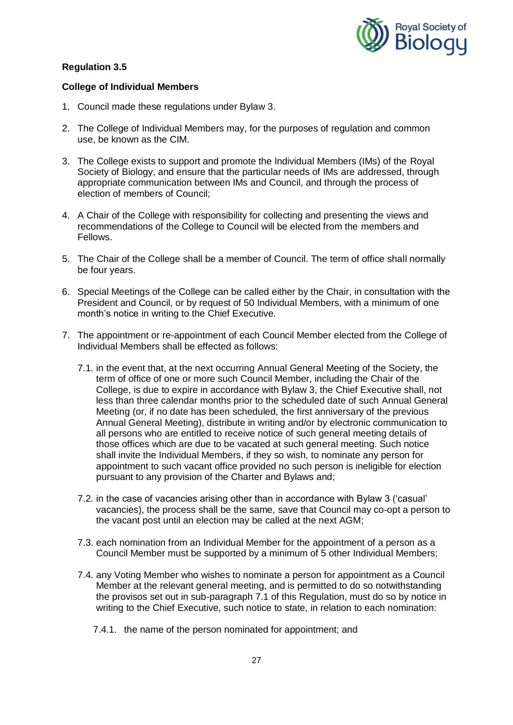

### **College of Individual Members**

- 1. Council made these regulations under Bylaw 3.
- 2. The College of Individual Members may, for the purposes of regulation and common use, be known as the CIM.
- 3. The College exists to support and promote the Individual Members (IMs) of the Royal Society of Biology, and ensure that the particular needs of IMs are addressed, through appropriate communication between IMs and Council, and through the process of election of members of Council;
- 4. A Chair of the College with responsibility for collecting and presenting the views and recommendations of the College to Council will be elected from the members and Fellows.
- 5. The Chair of the College shall be a member of Council. The term of office shall normally be four years.
- 6. Special Meetings of the College can be called either by the Chair, in consultation with the President and Council, or by request of 50 Individual Members, with a minimum of one month's notice in writing to the Chief Executive.
- 7. The appointment or re-appointment of each Council Member elected from the College of Individual Members shall be effected as follows:
	- 7.1. in the event that, at the next occurring Annual General Meeting of the Society, the term of office of one or more such Council Member, including the Chair of the College, is due to expire in accordance with Bylaw 3, the Chief Executive shall, not less than three calendar months prior to the scheduled date of such Annual General Meeting (or, if no date has been scheduled, the first anniversary of the previous Annual General Meeting), distribute in writing and/or by electronic communication to all persons who are entitled to receive notice of such general meeting details of those offices which are due to be vacated at such general meeting. Such notice shall invite the Individual Members, if they so wish, to nominate any person for appointment to such vacant office provided no such person is ineligible for election pursuant to any provision of the Charter and Bylaws and;
	- 7.2. in the case of vacancies arising other than in accordance with Bylaw 3 ('casual' vacancies), the process shall be the same, save that Council may co-opt a person to the vacant post until an election may be called at the next AGM;
	- 7.3. each nomination from an Individual Member for the appointment of a person as a Council Member must be supported by a minimum of 5 other Individual Members;
	- 7.4. any Voting Member who wishes to nominate a person for appointment as a Council Member at the relevant general meeting, and is permitted to do so notwithstanding the provisos set out in sub-paragraph 7.1 of this Regulation, must do so by notice in writing to the Chief Executive, such notice to state, in relation to each nomination:
		- 7.4.1. the name of the person nominated for appointment; and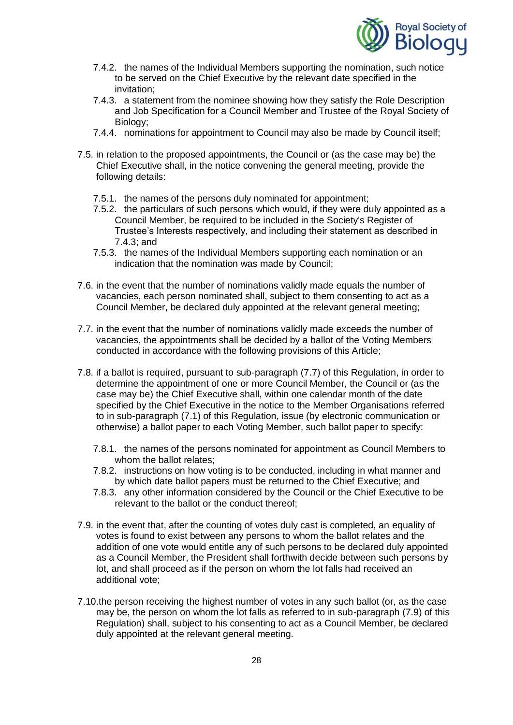

- 7.4.2. the names of the Individual Members supporting the nomination, such notice to be served on the Chief Executive by the relevant date specified in the invitation;
- 7.4.3. a statement from the nominee showing how they satisfy the Role Description and Job Specification for a Council Member and Trustee of the Royal Society of Biology;
- 7.4.4. nominations for appointment to Council may also be made by Council itself;
- 7.5. in relation to the proposed appointments, the Council or (as the case may be) the Chief Executive shall, in the notice convening the general meeting, provide the following details:
	- 7.5.1. the names of the persons duly nominated for appointment;
	- 7.5.2. the particulars of such persons which would, if they were duly appointed as a Council Member, be required to be included in the Society's Register of Trustee's Interests respectively, and including their statement as described in 7.4.3; and
	- 7.5.3. the names of the Individual Members supporting each nomination or an indication that the nomination was made by Council;
- 7.6. in the event that the number of nominations validly made equals the number of vacancies, each person nominated shall, subject to them consenting to act as a Council Member, be declared duly appointed at the relevant general meeting;
- 7.7. in the event that the number of nominations validly made exceeds the number of vacancies, the appointments shall be decided by a ballot of the Voting Members conducted in accordance with the following provisions of this Article;
- 7.8. if a ballot is required, pursuant to sub-paragraph (7.7) of this Regulation, in order to determine the appointment of one or more Council Member, the Council or (as the case may be) the Chief Executive shall, within one calendar month of the date specified by the Chief Executive in the notice to the Member Organisations referred to in sub-paragraph (7.1) of this Regulation, issue (by electronic communication or otherwise) a ballot paper to each Voting Member, such ballot paper to specify:
	- 7.8.1. the names of the persons nominated for appointment as Council Members to whom the ballot relates:
	- 7.8.2. instructions on how voting is to be conducted, including in what manner and by which date ballot papers must be returned to the Chief Executive; and
	- 7.8.3. any other information considered by the Council or the Chief Executive to be relevant to the ballot or the conduct thereof;
- 7.9. in the event that, after the counting of votes duly cast is completed, an equality of votes is found to exist between any persons to whom the ballot relates and the addition of one vote would entitle any of such persons to be declared duly appointed as a Council Member, the President shall forthwith decide between such persons by lot, and shall proceed as if the person on whom the lot falls had received an additional vote;
- 7.10.the person receiving the highest number of votes in any such ballot (or, as the case may be, the person on whom the lot falls as referred to in sub-paragraph (7.9) of this Regulation) shall, subject to his consenting to act as a Council Member, be declared duly appointed at the relevant general meeting.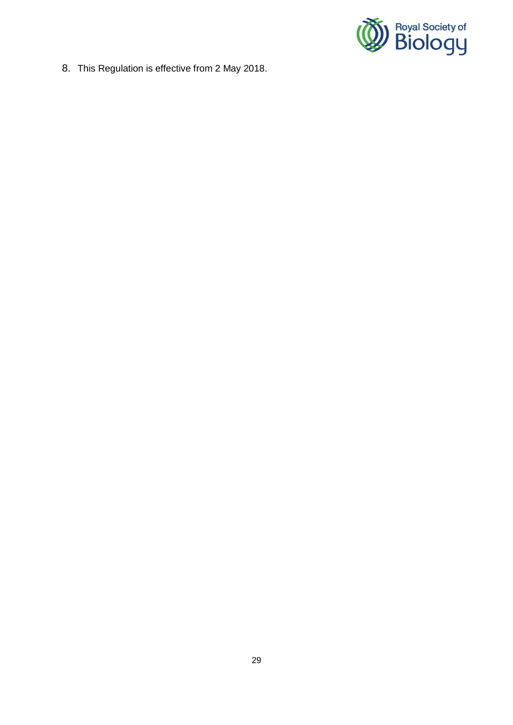

8. This Regulation is effective from 2 May 2018.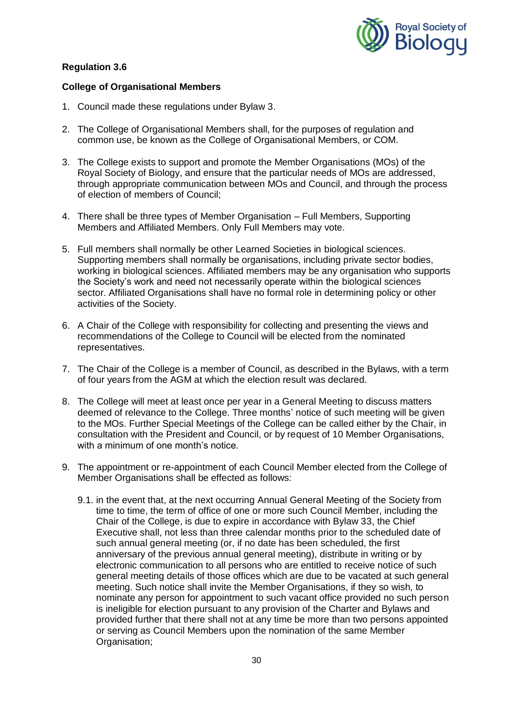

### **College of Organisational Members**

- 1. Council made these regulations under Bylaw 3.
- 2. The College of Organisational Members shall, for the purposes of regulation and common use, be known as the College of Organisational Members, or COM.
- 3. The College exists to support and promote the Member Organisations (MOs) of the Royal Society of Biology, and ensure that the particular needs of MOs are addressed, through appropriate communication between MOs and Council, and through the process of election of members of Council;
- 4. There shall be three types of Member Organisation Full Members, Supporting Members and Affiliated Members. Only Full Members may vote.
- 5. Full members shall normally be other Learned Societies in biological sciences. Supporting members shall normally be organisations, including private sector bodies, working in biological sciences. Affiliated members may be any organisation who supports the Society's work and need not necessarily operate within the biological sciences sector. Affiliated Organisations shall have no formal role in determining policy or other activities of the Society.
- 6. A Chair of the College with responsibility for collecting and presenting the views and recommendations of the College to Council will be elected from the nominated representatives.
- 7. The Chair of the College is a member of Council, as described in the Bylaws, with a term of four years from the AGM at which the election result was declared.
- 8. The College will meet at least once per year in a General Meeting to discuss matters deemed of relevance to the College. Three months' notice of such meeting will be given to the MOs. Further Special Meetings of the College can be called either by the Chair, in consultation with the President and Council, or by request of 10 Member Organisations, with a minimum of one month's notice.
- 9. The appointment or re-appointment of each Council Member elected from the College of Member Organisations shall be effected as follows:
	- 9.1. in the event that, at the next occurring Annual General Meeting of the Society from time to time, the term of office of one or more such Council Member, including the Chair of the College, is due to expire in accordance with Bylaw 33, the Chief Executive shall, not less than three calendar months prior to the scheduled date of such annual general meeting (or, if no date has been scheduled, the first anniversary of the previous annual general meeting), distribute in writing or by electronic communication to all persons who are entitled to receive notice of such general meeting details of those offices which are due to be vacated at such general meeting. Such notice shall invite the Member Organisations, if they so wish, to nominate any person for appointment to such vacant office provided no such person is ineligible for election pursuant to any provision of the Charter and Bylaws and provided further that there shall not at any time be more than two persons appointed or serving as Council Members upon the nomination of the same Member Organisation;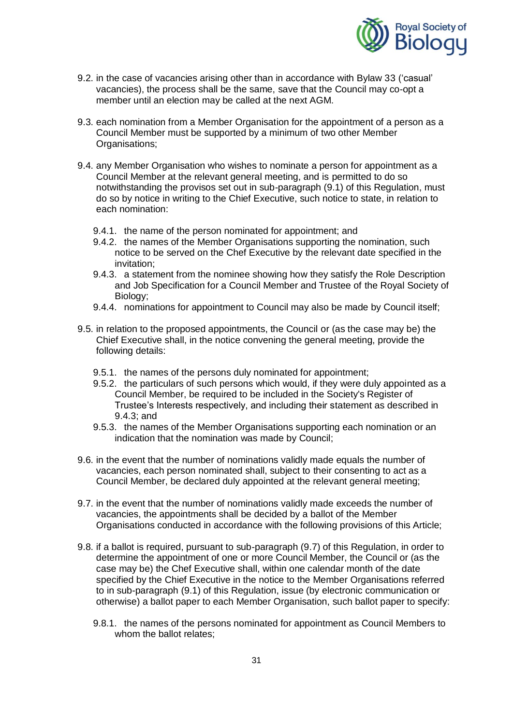

- 9.2. in the case of vacancies arising other than in accordance with Bylaw 33 ('casual' vacancies), the process shall be the same, save that the Council may co-opt a member until an election may be called at the next AGM.
- 9.3. each nomination from a Member Organisation for the appointment of a person as a Council Member must be supported by a minimum of two other Member Organisations;
- 9.4. any Member Organisation who wishes to nominate a person for appointment as a Council Member at the relevant general meeting, and is permitted to do so notwithstanding the provisos set out in sub-paragraph (9.1) of this Regulation, must do so by notice in writing to the Chief Executive, such notice to state, in relation to each nomination:
	- 9.4.1. the name of the person nominated for appointment; and
	- 9.4.2. the names of the Member Organisations supporting the nomination, such notice to be served on the Chef Executive by the relevant date specified in the invitation;
	- 9.4.3. a statement from the nominee showing how they satisfy the Role Description and Job Specification for a Council Member and Trustee of the Royal Society of Biology;
	- 9.4.4. nominations for appointment to Council may also be made by Council itself;
- 9.5. in relation to the proposed appointments, the Council or (as the case may be) the Chief Executive shall, in the notice convening the general meeting, provide the following details:
	- 9.5.1. the names of the persons duly nominated for appointment;
	- 9.5.2. the particulars of such persons which would, if they were duly appointed as a Council Member, be required to be included in the Society's Register of Trustee's Interests respectively, and including their statement as described in 9.4.3; and
	- 9.5.3. the names of the Member Organisations supporting each nomination or an indication that the nomination was made by Council;
- 9.6. in the event that the number of nominations validly made equals the number of vacancies, each person nominated shall, subject to their consenting to act as a Council Member, be declared duly appointed at the relevant general meeting;
- 9.7. in the event that the number of nominations validly made exceeds the number of vacancies, the appointments shall be decided by a ballot of the Member Organisations conducted in accordance with the following provisions of this Article;
- 9.8. if a ballot is required, pursuant to sub-paragraph (9.7) of this Regulation, in order to determine the appointment of one or more Council Member, the Council or (as the case may be) the Chef Executive shall, within one calendar month of the date specified by the Chief Executive in the notice to the Member Organisations referred to in sub-paragraph (9.1) of this Regulation, issue (by electronic communication or otherwise) a ballot paper to each Member Organisation, such ballot paper to specify:
	- 9.8.1. the names of the persons nominated for appointment as Council Members to whom the ballot relates;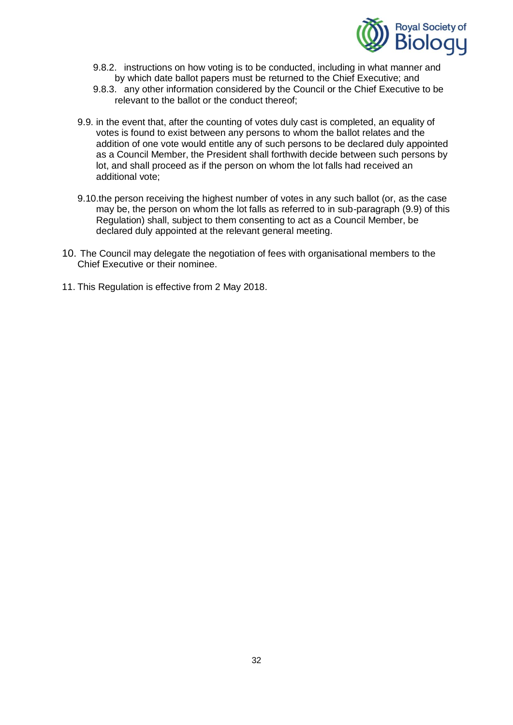

- 9.8.2. instructions on how voting is to be conducted, including in what manner and by which date ballot papers must be returned to the Chief Executive; and
- 9.8.3. any other information considered by the Council or the Chief Executive to be relevant to the ballot or the conduct thereof;
- 9.9. in the event that, after the counting of votes duly cast is completed, an equality of votes is found to exist between any persons to whom the ballot relates and the addition of one vote would entitle any of such persons to be declared duly appointed as a Council Member, the President shall forthwith decide between such persons by lot, and shall proceed as if the person on whom the lot falls had received an additional vote;
- 9.10.the person receiving the highest number of votes in any such ballot (or, as the case may be, the person on whom the lot falls as referred to in sub-paragraph (9.9) of this Regulation) shall, subject to them consenting to act as a Council Member, be declared duly appointed at the relevant general meeting.
- 10. The Council may delegate the negotiation of fees with organisational members to the Chief Executive or their nominee.
- 11. This Regulation is effective from 2 May 2018.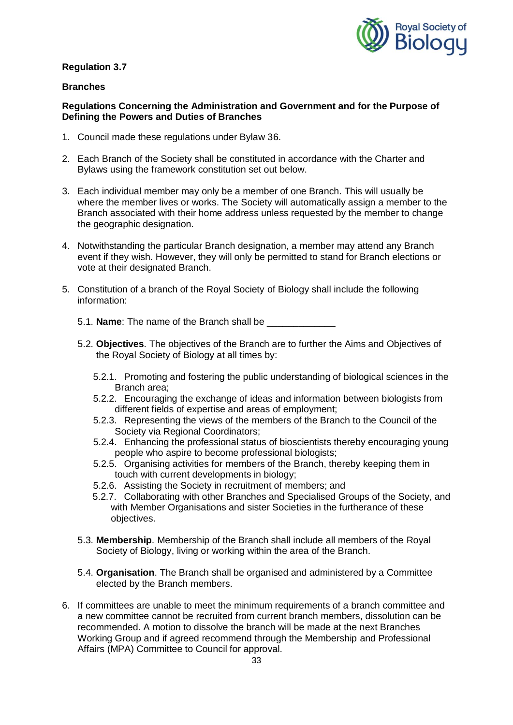

### **Branches**

### **Regulations Concerning the Administration and Government and for the Purpose of Defining the Powers and Duties of Branches**

- 1. Council made these regulations under Bylaw 36.
- 2. Each Branch of the Society shall be constituted in accordance with the Charter and Bylaws using the framework constitution set out below.
- 3. Each individual member may only be a member of one Branch. This will usually be where the member lives or works. The Society will automatically assign a member to the Branch associated with their home address unless requested by the member to change the geographic designation.
- 4. Notwithstanding the particular Branch designation, a member may attend any Branch event if they wish. However, they will only be permitted to stand for Branch elections or vote at their designated Branch.
- 5. Constitution of a branch of the Royal Society of Biology shall include the following information:
	- 5.1. **Name**: The name of the Branch shall be
	- 5.2. **Objectives**. The objectives of the Branch are to further the Aims and Objectives of the Royal Society of Biology at all times by:
		- 5.2.1. Promoting and fostering the public understanding of biological sciences in the Branch area;
		- 5.2.2. Encouraging the exchange of ideas and information between biologists from different fields of expertise and areas of employment;
		- 5.2.3. Representing the views of the members of the Branch to the Council of the Society via Regional Coordinators;
		- 5.2.4. Enhancing the professional status of bioscientists thereby encouraging young people who aspire to become professional biologists;
		- 5.2.5. Organising activities for members of the Branch, thereby keeping them in touch with current developments in biology;
		- 5.2.6. Assisting the Society in recruitment of members; and
		- 5.2.7. Collaborating with other Branches and Specialised Groups of the Society, and with Member Organisations and sister Societies in the furtherance of these objectives.
	- 5.3. **Membership**. Membership of the Branch shall include all members of the Royal Society of Biology, living or working within the area of the Branch.
	- 5.4. **Organisation**. The Branch shall be organised and administered by a Committee elected by the Branch members.
- 6. If committees are unable to meet the minimum requirements of a branch committee and a new committee cannot be recruited from current branch members, dissolution can be recommended. A motion to dissolve the branch will be made at the next Branches Working Group and if agreed recommend through the Membership and Professional Affairs (MPA) Committee to Council for approval.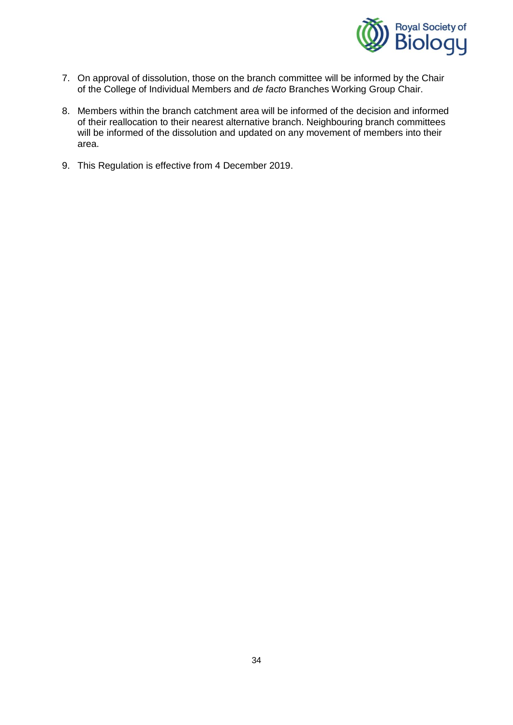

- 7. On approval of dissolution, those on the branch committee will be informed by the Chair of the College of Individual Members and *de facto* Branches Working Group Chair.
- 8. Members within the branch catchment area will be informed of the decision and informed of their reallocation to their nearest alternative branch. Neighbouring branch committees will be informed of the dissolution and updated on any movement of members into their area.
- 9. This Regulation is effective from 4 December 2019.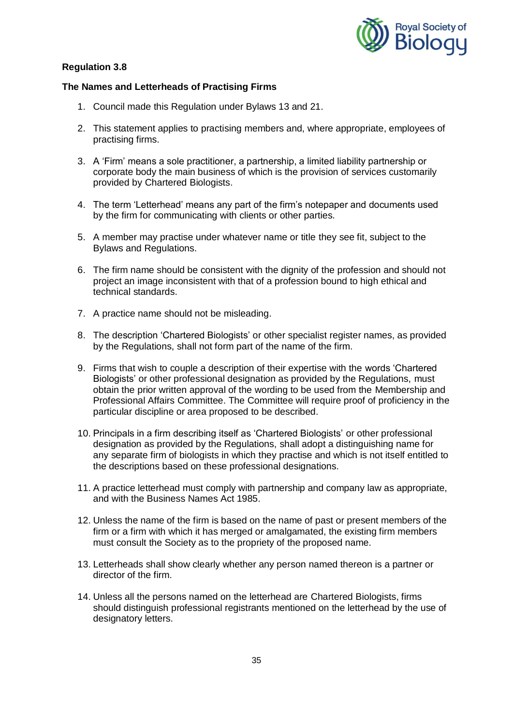

## **The Names and Letterheads of Practising Firms**

- 1. Council made this Regulation under Bylaws 13 and 21.
- 2. This statement applies to practising members and, where appropriate, employees of practising firms.
- 3. A 'Firm' means a sole practitioner, a partnership, a limited liability partnership or corporate body the main business of which is the provision of services customarily provided by Chartered Biologists.
- 4. The term 'Letterhead' means any part of the firm's notepaper and documents used by the firm for communicating with clients or other parties.
- 5. A member may practise under whatever name or title they see fit, subject to the Bylaws and Regulations.
- 6. The firm name should be consistent with the dignity of the profession and should not project an image inconsistent with that of a profession bound to high ethical and technical standards.
- 7. A practice name should not be misleading.
- 8. The description 'Chartered Biologists' or other specialist register names, as provided by the Regulations, shall not form part of the name of the firm.
- 9. Firms that wish to couple a description of their expertise with the words 'Chartered Biologists' or other professional designation as provided by the Regulations, must obtain the prior written approval of the wording to be used from the Membership and Professional Affairs Committee. The Committee will require proof of proficiency in the particular discipline or area proposed to be described.
- 10. Principals in a firm describing itself as 'Chartered Biologists' or other professional designation as provided by the Regulations, shall adopt a distinguishing name for any separate firm of biologists in which they practise and which is not itself entitled to the descriptions based on these professional designations.
- 11. A practice letterhead must comply with partnership and company law as appropriate, and with the Business Names Act 1985.
- 12. Unless the name of the firm is based on the name of past or present members of the firm or a firm with which it has merged or amalgamated, the existing firm members must consult the Society as to the propriety of the proposed name.
- 13. Letterheads shall show clearly whether any person named thereon is a partner or director of the firm.
- 14. Unless all the persons named on the letterhead are Chartered Biologists, firms should distinguish professional registrants mentioned on the letterhead by the use of designatory letters.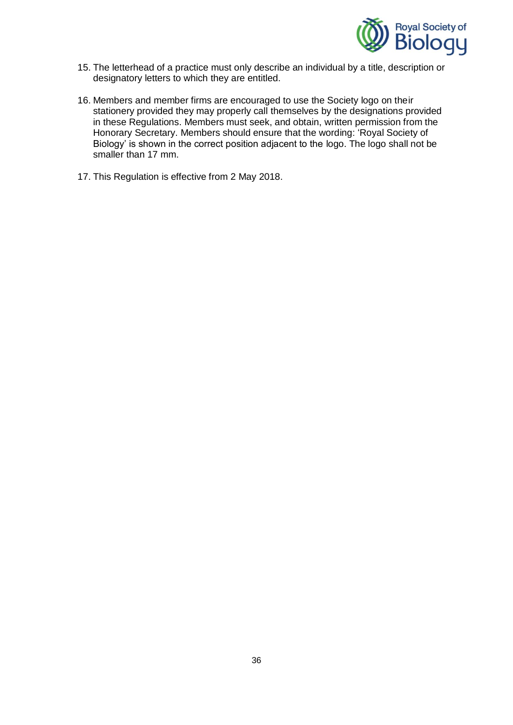

- 15. The letterhead of a practice must only describe an individual by a title, description or designatory letters to which they are entitled.
- 16. Members and member firms are encouraged to use the Society logo on their stationery provided they may properly call themselves by the designations provided in these Regulations. Members must seek, and obtain, written permission from the Honorary Secretary. Members should ensure that the wording: 'Royal Society of Biology' is shown in the correct position adjacent to the logo. The logo shall not be smaller than 17 mm.
- 17. This Regulation is effective from 2 May 2018.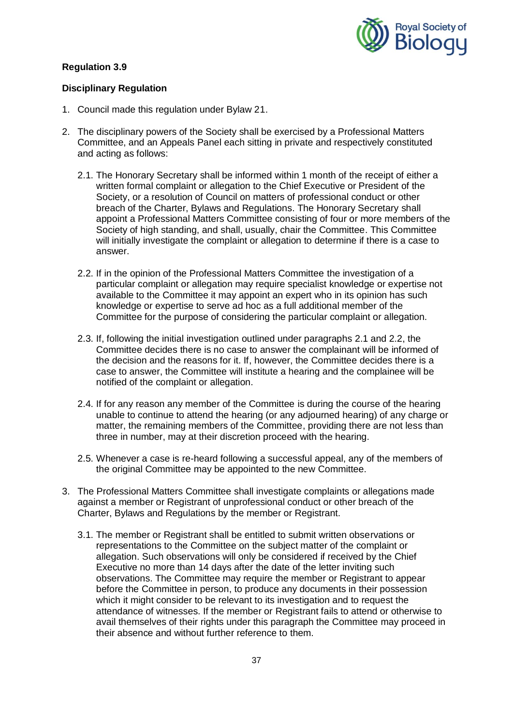

### **Disciplinary Regulation**

- 1. Council made this regulation under Bylaw 21.
- 2. The disciplinary powers of the Society shall be exercised by a Professional Matters Committee, and an Appeals Panel each sitting in private and respectively constituted and acting as follows:
	- 2.1. The Honorary Secretary shall be informed within 1 month of the receipt of either a written formal complaint or allegation to the Chief Executive or President of the Society, or a resolution of Council on matters of professional conduct or other breach of the Charter, Bylaws and Regulations. The Honorary Secretary shall appoint a Professional Matters Committee consisting of four or more members of the Society of high standing, and shall, usually, chair the Committee. This Committee will initially investigate the complaint or allegation to determine if there is a case to answer.
	- 2.2. If in the opinion of the Professional Matters Committee the investigation of a particular complaint or allegation may require specialist knowledge or expertise not available to the Committee it may appoint an expert who in its opinion has such knowledge or expertise to serve ad hoc as a full additional member of the Committee for the purpose of considering the particular complaint or allegation.
	- 2.3. If, following the initial investigation outlined under paragraphs 2.1 and 2.2, the Committee decides there is no case to answer the complainant will be informed of the decision and the reasons for it. If, however, the Committee decides there is a case to answer, the Committee will institute a hearing and the complainee will be notified of the complaint or allegation.
	- 2.4. If for any reason any member of the Committee is during the course of the hearing unable to continue to attend the hearing (or any adjourned hearing) of any charge or matter, the remaining members of the Committee, providing there are not less than three in number, may at their discretion proceed with the hearing.
	- 2.5. Whenever a case is re-heard following a successful appeal, any of the members of the original Committee may be appointed to the new Committee.
- 3. The Professional Matters Committee shall investigate complaints or allegations made against a member or Registrant of unprofessional conduct or other breach of the Charter, Bylaws and Regulations by the member or Registrant.
	- 3.1. The member or Registrant shall be entitled to submit written observations or representations to the Committee on the subject matter of the complaint or allegation. Such observations will only be considered if received by the Chief Executive no more than 14 days after the date of the letter inviting such observations. The Committee may require the member or Registrant to appear before the Committee in person, to produce any documents in their possession which it might consider to be relevant to its investigation and to request the attendance of witnesses. If the member or Registrant fails to attend or otherwise to avail themselves of their rights under this paragraph the Committee may proceed in their absence and without further reference to them.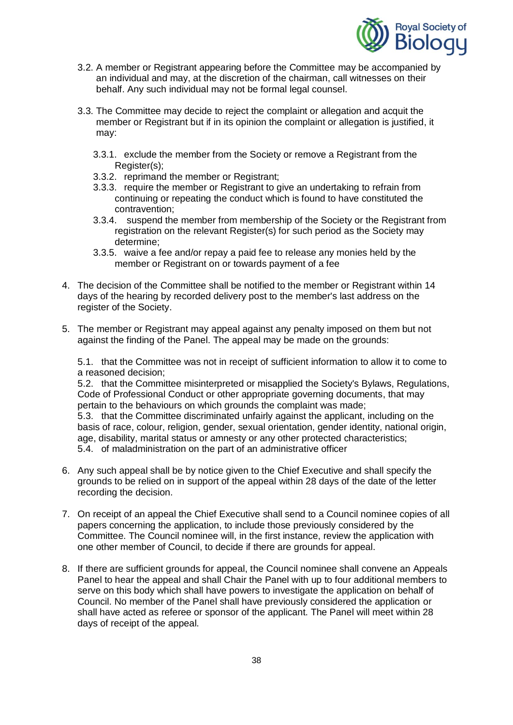

- 3.2. A member or Registrant appearing before the Committee may be accompanied by an individual and may, at the discretion of the chairman, call witnesses on their behalf. Any such individual may not be formal legal counsel.
- 3.3. The Committee may decide to reject the complaint or allegation and acquit the member or Registrant but if in its opinion the complaint or allegation is justified, it may:
	- 3.3.1. exclude the member from the Society or remove a Registrant from the Register(s);
	- 3.3.2. reprimand the member or Registrant;
	- 3.3.3. require the member or Registrant to give an undertaking to refrain from continuing or repeating the conduct which is found to have constituted the contravention;
	- 3.3.4. suspend the member from membership of the Society or the Registrant from registration on the relevant Register(s) for such period as the Society may determine;
	- 3.3.5. waive a fee and/or repay a paid fee to release any monies held by the member or Registrant on or towards payment of a fee
- 4. The decision of the Committee shall be notified to the member or Registrant within 14 days of the hearing by recorded delivery post to the member's last address on the register of the Society.
- 5. The member or Registrant may appeal against any penalty imposed on them but not against the finding of the Panel. The appeal may be made on the grounds:

5.1. that the Committee was not in receipt of sufficient information to allow it to come to a reasoned decision;

5.2. that the Committee misinterpreted or misapplied the Society's Bylaws, Regulations, Code of Professional Conduct or other appropriate governing documents, that may pertain to the behaviours on which grounds the complaint was made;

5.3. that the Committee discriminated unfairly against the applicant, including on the basis of race, colour, religion, gender, sexual orientation, gender identity, national origin, age, disability, marital status or amnesty or any other protected characteristics; 5.4. of maladministration on the part of an administrative officer

- 6. Any such appeal shall be by notice given to the Chief Executive and shall specify the grounds to be relied on in support of the appeal within 28 days of the date of the letter recording the decision.
- 7. On receipt of an appeal the Chief Executive shall send to a Council nominee copies of all papers concerning the application, to include those previously considered by the Committee. The Council nominee will, in the first instance, review the application with one other member of Council, to decide if there are grounds for appeal.
- 8. If there are sufficient grounds for appeal, the Council nominee shall convene an Appeals Panel to hear the appeal and shall Chair the Panel with up to four additional members to serve on this body which shall have powers to investigate the application on behalf of Council. No member of the Panel shall have previously considered the application or shall have acted as referee or sponsor of the applicant. The Panel will meet within 28 days of receipt of the appeal.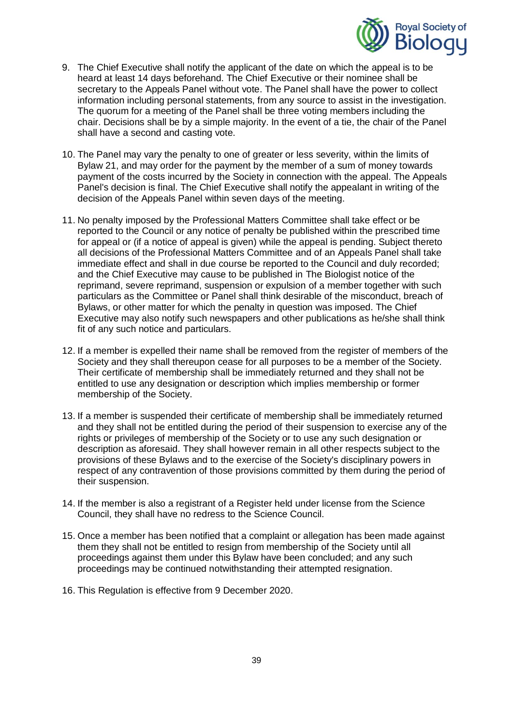

- 9. The Chief Executive shall notify the applicant of the date on which the appeal is to be heard at least 14 days beforehand. The Chief Executive or their nominee shall be secretary to the Appeals Panel without vote. The Panel shall have the power to collect information including personal statements, from any source to assist in the investigation. The quorum for a meeting of the Panel shall be three voting members including the chair. Decisions shall be by a simple majority. In the event of a tie, the chair of the Panel shall have a second and casting vote.
- 10. The Panel may vary the penalty to one of greater or less severity, within the limits of Bylaw 21, and may order for the payment by the member of a sum of money towards payment of the costs incurred by the Society in connection with the appeal. The Appeals Panel's decision is final. The Chief Executive shall notify the appealant in writing of the decision of the Appeals Panel within seven days of the meeting.
- 11. No penalty imposed by the Professional Matters Committee shall take effect or be reported to the Council or any notice of penalty be published within the prescribed time for appeal or (if a notice of appeal is given) while the appeal is pending. Subject thereto all decisions of the Professional Matters Committee and of an Appeals Panel shall take immediate effect and shall in due course be reported to the Council and duly recorded; and the Chief Executive may cause to be published in The Biologist notice of the reprimand, severe reprimand, suspension or expulsion of a member together with such particulars as the Committee or Panel shall think desirable of the misconduct, breach of Bylaws, or other matter for which the penalty in question was imposed. The Chief Executive may also notify such newspapers and other publications as he/she shall think fit of any such notice and particulars.
- 12. If a member is expelled their name shall be removed from the register of members of the Society and they shall thereupon cease for all purposes to be a member of the Society. Their certificate of membership shall be immediately returned and they shall not be entitled to use any designation or description which implies membership or former membership of the Society.
- 13. If a member is suspended their certificate of membership shall be immediately returned and they shall not be entitled during the period of their suspension to exercise any of the rights or privileges of membership of the Society or to use any such designation or description as aforesaid. They shall however remain in all other respects subject to the provisions of these Bylaws and to the exercise of the Society's disciplinary powers in respect of any contravention of those provisions committed by them during the period of their suspension.
- 14. If the member is also a registrant of a Register held under license from the Science Council, they shall have no redress to the Science Council.
- 15. Once a member has been notified that a complaint or allegation has been made against them they shall not be entitled to resign from membership of the Society until all proceedings against them under this Bylaw have been concluded; and any such proceedings may be continued notwithstanding their attempted resignation.
- 16. This Regulation is effective from 9 December 2020.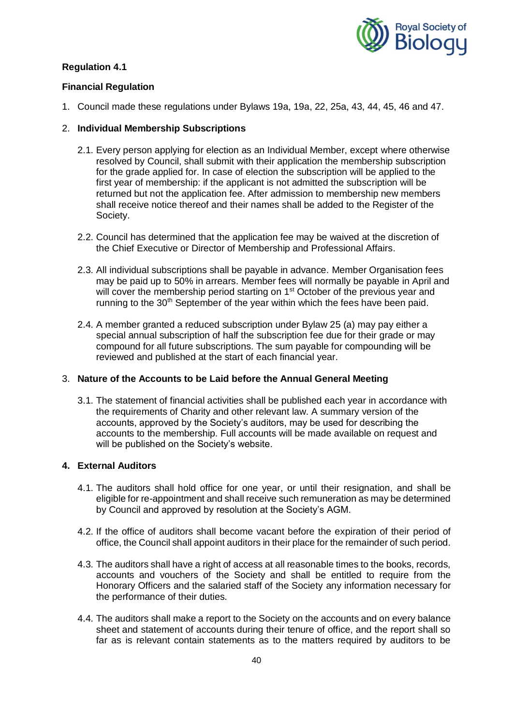

### **Financial Regulation**

1. Council made these regulations under Bylaws 19a, 19a, 22, 25a, 43, 44, 45, 46 and 47.

### 2. **Individual Membership Subscriptions**

- 2.1. Every person applying for election as an Individual Member, except where otherwise resolved by Council, shall submit with their application the membership subscription for the grade applied for. In case of election the subscription will be applied to the first year of membership: if the applicant is not admitted the subscription will be returned but not the application fee. After admission to membership new members shall receive notice thereof and their names shall be added to the Register of the Society.
- 2.2. Council has determined that the application fee may be waived at the discretion of the Chief Executive or Director of Membership and Professional Affairs.
- 2.3. All individual subscriptions shall be payable in advance. Member Organisation fees may be paid up to 50% in arrears. Member fees will normally be payable in April and will cover the membership period starting on 1<sup>st</sup> October of the previous year and running to the 30<sup>th</sup> September of the year within which the fees have been paid.
- 2.4. A member granted a reduced subscription under Bylaw 25 (a) may pay either a special annual subscription of half the subscription fee due for their grade or may compound for all future subscriptions. The sum payable for compounding will be reviewed and published at the start of each financial year.

#### 3. **Nature of the Accounts to be Laid before the Annual General Meeting**

3.1. The statement of financial activities shall be published each year in accordance with the requirements of Charity and other relevant law. A summary version of the accounts, approved by the Society's auditors, may be used for describing the accounts to the membership. Full accounts will be made available on request and will be published on the Society's website.

## **4. External Auditors**

- 4.1. The auditors shall hold office for one year, or until their resignation, and shall be eligible for re-appointment and shall receive such remuneration as may be determined by Council and approved by resolution at the Society's AGM.
- 4.2. If the office of auditors shall become vacant before the expiration of their period of office, the Council shall appoint auditors in their place for the remainder of such period.
- 4.3. The auditors shall have a right of access at all reasonable times to the books, records, accounts and vouchers of the Society and shall be entitled to require from the Honorary Officers and the salaried staff of the Society any information necessary for the performance of their duties.
- 4.4. The auditors shall make a report to the Society on the accounts and on every balance sheet and statement of accounts during their tenure of office, and the report shall so far as is relevant contain statements as to the matters required by auditors to be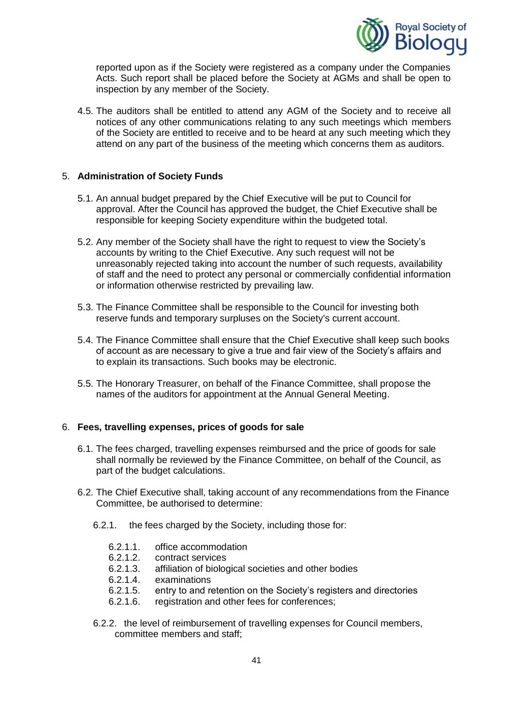

reported upon as if the Society were registered as a company under the Companies Acts. Such report shall be placed before the Society at AGMs and shall be open to inspection by any member of the Society.

4.5. The auditors shall be entitled to attend any AGM of the Society and to receive all notices of any other communications relating to any such meetings which members of the Society are entitled to receive and to be heard at any such meeting which they attend on any part of the business of the meeting which concerns them as auditors.

#### 5. **Administration of Society Funds**

- 5.1. An annual budget prepared by the Chief Executive will be put to Council for approval. After the Council has approved the budget, the Chief Executive shall be responsible for keeping Society expenditure within the budgeted total.
- 5.2. Any member of the Society shall have the right to request to view the Society's accounts by writing to the Chief Executive. Any such request will not be unreasonably rejected taking into account the number of such requests, availability of staff and the need to protect any personal or commercially confidential information or information otherwise restricted by prevailing law.
- 5.3. The Finance Committee shall be responsible to the Council for investing both reserve funds and temporary surpluses on the Society's current account.
- 5.4. The Finance Committee shall ensure that the Chief Executive shall keep such books of account as are necessary to give a true and fair view of the Society's affairs and to explain its transactions. Such books may be electronic.
- 5.5. The Honorary Treasurer, on behalf of the Finance Committee, shall propose the names of the auditors for appointment at the Annual General Meeting.

### 6. **Fees, travelling expenses, prices of goods for sale**

- 6.1. The fees charged, travelling expenses reimbursed and the price of goods for sale shall normally be reviewed by the Finance Committee, on behalf of the Council, as part of the budget calculations.
- 6.2. The Chief Executive shall, taking account of any recommendations from the Finance Committee, be authorised to determine:
	- 6.2.1. the fees charged by the Society, including those for:
		- 6.2.1.1. office accommodation<br>6.2.1.2. contract services
		- contract services
		- 6.2.1.3. affiliation of biological societies and other bodies<br>6.2.1.4. examinations
		- examinations
		- 6.2.1.5. entry to and retention on the Society's registers and directories
		- 6.2.1.6. registration and other fees for conferences;
	- 6.2.2. the level of reimbursement of travelling expenses for Council members, committee members and staff;